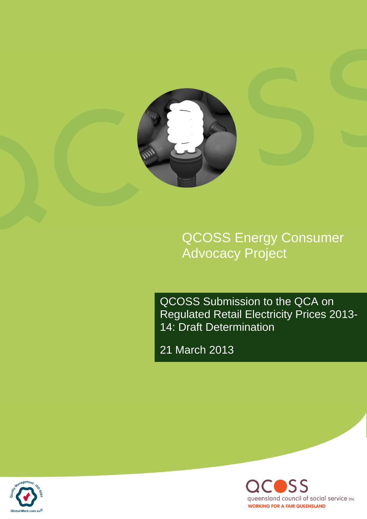

QCOSS Energy Consumer Advocacy Project

QCOSS Submission to the QCA on Regulated Retail Electricity Prices 2013- 14: Draft Determination

21 March 2013



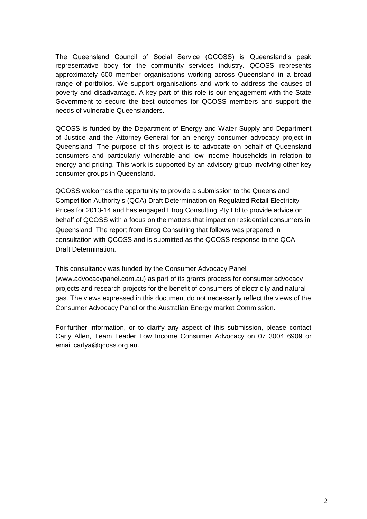The Queensland Council of Social Service (QCOSS) is Queensland's peak representative body for the community services industry. QCOSS represents approximately 600 member organisations working across Queensland in a broad range of portfolios. We support organisations and work to address the causes of poverty and disadvantage. A key part of this role is our engagement with the State Government to secure the best outcomes for QCOSS members and support the needs of vulnerable Queenslanders.

QCOSS is funded by the Department of Energy and Water Supply and Department of Justice and the Attorney-General for an energy consumer advocacy project in Queensland. The purpose of this project is to advocate on behalf of Queensland consumers and particularly vulnerable and low income households in relation to energy and pricing. This work is supported by an advisory group involving other key consumer groups in Queensland.

QCOSS welcomes the opportunity to provide a submission to the Queensland Competition Authority's (QCA) Draft Determination on Regulated Retail Electricity Prices for 2013-14 and has engaged Etrog Consulting Pty Ltd to provide advice on behalf of QCOSS with a focus on the matters that impact on residential consumers in Queensland. The report from Etrog Consulting that follows was prepared in consultation with QCOSS and is submitted as the QCOSS response to the QCA Draft Determination.

This consultancy was funded by the Consumer Advocacy Panel (www.advocacypanel.com.au) as part of its grants process for consumer advocacy projects and research projects for the benefit of consumers of electricity and natural gas. The views expressed in this document do not necessarily reflect the views of the Consumer Advocacy Panel or the Australian Energy market Commission.

For further information, or to clarify any aspect of this submission, please contact Carly Allen, Team Leader Low Income Consumer Advocacy on 07 3004 6909 or email [carlya@qcoss.org.au.](mailto:lindap@qcoss.org.au)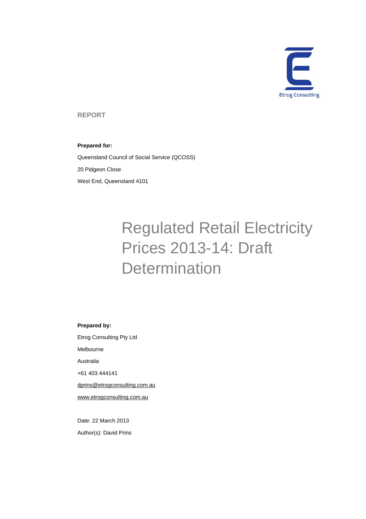

**REPORT** 

#### **Prepared for:**

Queensland Council of Social Service (QCOSS) 20 Pidgeon Close West End, Queensland 4101

# Regulated Retail Electricity Prices 2013-14: Draft **Determination**

#### **Prepared by:**

Etrog Consulting Pty Ltd Melbourne

Australia

+61 403 444141

dprins@etrogconsulting.com.au

www.etrogconsulting.com.au

Date: 22 March 2013 Author(s): David Prins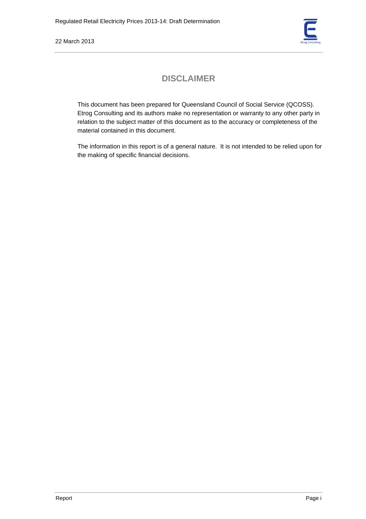

# **DISCLAIMER**

This document has been prepared for Queensland Council of Social Service (QCOSS). Etrog Consulting and its authors make no representation or warranty to any other party in relation to the subject matter of this document as to the accuracy or completeness of the material contained in this document.

The information in this report is of a general nature. It is not intended to be relied upon for the making of specific financial decisions.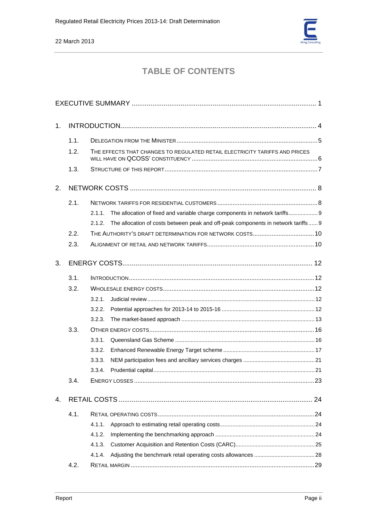

# **TABLE OF CONTENTS**

| 1. |      |                                                                                             |  |  |
|----|------|---------------------------------------------------------------------------------------------|--|--|
|    | 1.1. |                                                                                             |  |  |
|    | 1.2. | THE EFFECTS THAT CHANGES TO REGULATED RETAIL ELECTRICITY TARIFFS AND PRICES                 |  |  |
|    | 1.3. |                                                                                             |  |  |
| 2. |      |                                                                                             |  |  |
|    | 2.1. |                                                                                             |  |  |
|    |      | The allocation of fixed and variable charge components in network tariffs 9<br>2.1.1.       |  |  |
|    |      | The allocation of costs between peak and off-peak components in network tariffs 9<br>2.1.2. |  |  |
|    | 2.2. |                                                                                             |  |  |
|    | 2.3. |                                                                                             |  |  |
| 3. |      |                                                                                             |  |  |
|    | 3.1. |                                                                                             |  |  |
|    | 3.2. |                                                                                             |  |  |
|    |      | 3.2.1.                                                                                      |  |  |
|    |      | 3.2.2.                                                                                      |  |  |
|    |      | 3.2.3.                                                                                      |  |  |
|    | 3.3. |                                                                                             |  |  |
|    |      | 3.3.1.                                                                                      |  |  |
|    |      | 3.3.2.                                                                                      |  |  |
|    |      | 3.3.3.                                                                                      |  |  |
|    |      | 3.3.4.                                                                                      |  |  |
|    | 3.4. |                                                                                             |  |  |
| 4. |      |                                                                                             |  |  |
|    | 4.1. |                                                                                             |  |  |
|    |      | 4.1.1.                                                                                      |  |  |
|    |      | 4.1.2.                                                                                      |  |  |
|    |      | 4.1.3.                                                                                      |  |  |
|    |      | 4.1.4.                                                                                      |  |  |
|    | 4.2. |                                                                                             |  |  |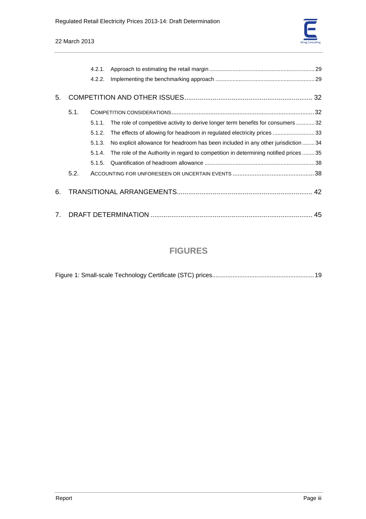|                |      | 4.2.1. |                                                                                      |  |  |  |  |
|----------------|------|--------|--------------------------------------------------------------------------------------|--|--|--|--|
|                |      | 4.2.2. |                                                                                      |  |  |  |  |
| 5.             |      |        |                                                                                      |  |  |  |  |
|                | 5.1. |        |                                                                                      |  |  |  |  |
|                |      | 5.1.1. | The role of competitive activity to derive longer term benefits for consumers 32     |  |  |  |  |
|                |      | 5.1.2. | The effects of allowing for headroom in regulated electricity prices 33              |  |  |  |  |
|                |      | 5.1.3. | No explicit allowance for headroom has been included in any other jurisdiction  34   |  |  |  |  |
|                |      | 5.1.4. | The role of the Authority in regard to competition in determining notified prices 35 |  |  |  |  |
|                |      | 5.1.5. |                                                                                      |  |  |  |  |
|                | 5.2. |        |                                                                                      |  |  |  |  |
| 6.             |      |        |                                                                                      |  |  |  |  |
| 7 <sub>1</sub> |      |        |                                                                                      |  |  |  |  |

# **FIGURES**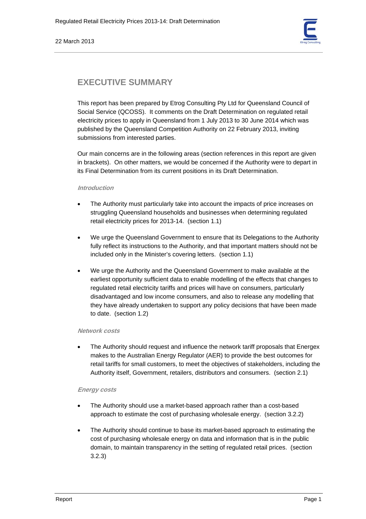

# **EXECUTIVE SUMMARY**

This report has been prepared by Etrog Consulting Pty Ltd for Queensland Council of Social Service (QCOSS). It comments on the Draft Determination on regulated retail electricity prices to apply in Queensland from 1 July 2013 to 30 June 2014 which was published by the Queensland Competition Authority on 22 February 2013, inviting submissions from interested parties.

Our main concerns are in the following areas (section references in this report are given in brackets). On other matters, we would be concerned if the Authority were to depart in its Final Determination from its current positions in its Draft Determination.

#### **Introduction**

- The Authority must particularly take into account the impacts of price increases on struggling Queensland households and businesses when determining regulated retail electricity prices for 2013-14. (section 1.1)
- We urge the Queensland Government to ensure that its Delegations to the Authority fully reflect its instructions to the Authority, and that important matters should not be included only in the Minister's covering letters. (section 1.1)
- We urge the Authority and the Queensland Government to make available at the earliest opportunity sufficient data to enable modelling of the effects that changes to regulated retail electricity tariffs and prices will have on consumers, particularly disadvantaged and low income consumers, and also to release any modelling that they have already undertaken to support any policy decisions that have been made to date. (section 1.2)

#### **Network costs**

• The Authority should request and influence the network tariff proposals that Energex makes to the Australian Energy Regulator (AER) to provide the best outcomes for retail tariffs for small customers, to meet the objectives of stakeholders, including the Authority itself, Government, retailers, distributors and consumers. (section 2.1)

# **Energy costs**

- The Authority should use a market-based approach rather than a cost-based approach to estimate the cost of purchasing wholesale energy. (section 3.2.2)
- The Authority should continue to base its market-based approach to estimating the cost of purchasing wholesale energy on data and information that is in the public domain, to maintain transparency in the setting of regulated retail prices. (section 3.2.3)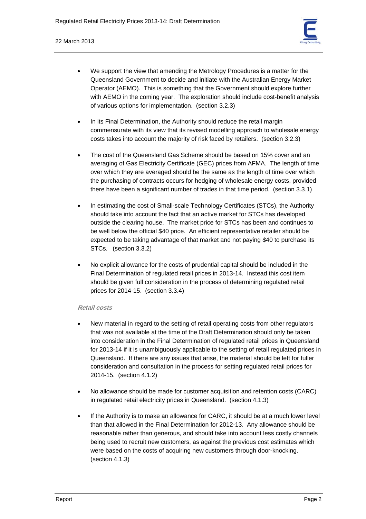

- We support the view that amending the Metrology Procedures is a matter for the Queensland Government to decide and initiate with the Australian Energy Market Operator (AEMO). This is something that the Government should explore further with AEMO in the coming year. The exploration should include cost-benefit analysis of various options for implementation. (section 3.2.3)
- In its Final Determination, the Authority should reduce the retail margin commensurate with its view that its revised modelling approach to wholesale energy costs takes into account the majority of risk faced by retailers. (section 3.2.3)
- The cost of the Queensland Gas Scheme should be based on 15% cover and an averaging of Gas Electricity Certificate (GEC) prices from AFMA. The length of time over which they are averaged should be the same as the length of time over which the purchasing of contracts occurs for hedging of wholesale energy costs, provided there have been a significant number of trades in that time period. (section 3.3.1)
- In estimating the cost of Small-scale Technology Certificates (STCs), the Authority should take into account the fact that an active market for STCs has developed outside the clearing house. The market price for STCs has been and continues to be well below the official \$40 price. An efficient representative retailer should be expected to be taking advantage of that market and not paying \$40 to purchase its STCs. (section 3.3.2)
- No explicit allowance for the costs of prudential capital should be included in the Final Determination of regulated retail prices in 2013-14. Instead this cost item should be given full consideration in the process of determining regulated retail prices for 2014-15. (section 3.3.4)

# **Retail costs**

- New material in regard to the setting of retail operating costs from other regulators that was not available at the time of the Draft Determination should only be taken into consideration in the Final Determination of regulated retail prices in Queensland for 2013-14 if it is unambiguously applicable to the setting of retail regulated prices in Queensland. If there are any issues that arise, the material should be left for fuller consideration and consultation in the process for setting regulated retail prices for 2014-15. (section 4.1.2)
- No allowance should be made for customer acquisition and retention costs (CARC) in regulated retail electricity prices in Queensland. (section 4.1.3)
- If the Authority is to make an allowance for CARC, it should be at a much lower level than that allowed in the Final Determination for 2012-13. Any allowance should be reasonable rather than generous, and should take into account less costly channels being used to recruit new customers, as against the previous cost estimates which were based on the costs of acquiring new customers through door-knocking. (section 4.1.3)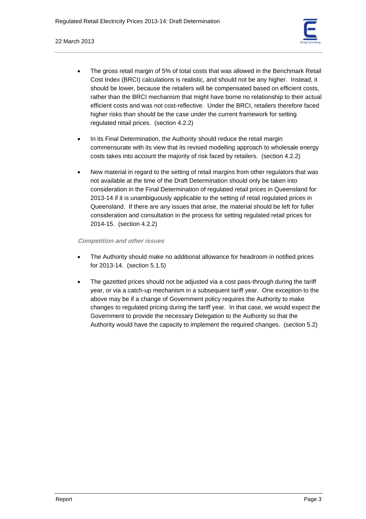

- The gross retail margin of 5% of total costs that was allowed in the Benchmark Retail Cost Index (BRCI) calculations is realistic, and should not be any higher. Instead, it should be lower, because the retailers will be compensated based on efficient costs, rather than the BRCI mechanism that might have borne no relationship to their actual efficient costs and was not cost-reflective. Under the BRCI, retailers therefore faced higher risks than should be the case under the current framework for setting regulated retail prices. (section 4.2.2)
- In its Final Determination, the Authority should reduce the retail margin commensurate with its view that its revised modelling approach to wholesale energy costs takes into account the majority of risk faced by retailers. (section 4.2.2)
- New material in regard to the setting of retail margins from other regulators that was not available at the time of the Draft Determination should only be taken into consideration in the Final Determination of regulated retail prices in Queensland for 2013-14 if it is unambiguously applicable to the setting of retail regulated prices in Queensland. If there are any issues that arise, the material should be left for fuller consideration and consultation in the process for setting regulated retail prices for 2014-15. (section 4.2.2)

# **Competition and other issues**

- The Authority should make no additional allowance for headroom in notified prices for 2013-14. (section 5.1.5)
- The gazetted prices should not be adjusted via a cost pass-through during the tariff year, or via a catch-up mechanism in a subsequent tariff year. One exception to the above may be if a change of Government policy requires the Authority to make changes to regulated pricing during the tariff year. In that case, we would expect the Government to provide the necessary Delegation to the Authority so that the Authority would have the capacity to implement the required changes. (section 5.2)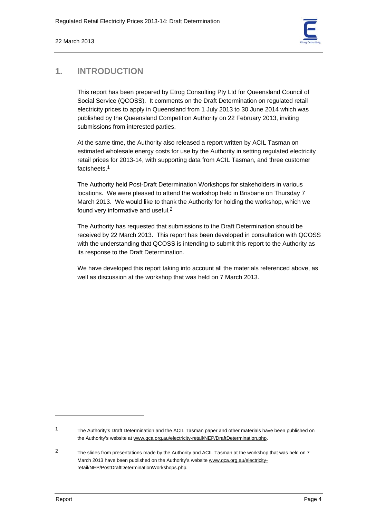

# **1. INTRODUCTION**

This report has been prepared by Etrog Consulting Pty Ltd for Queensland Council of Social Service (QCOSS). It comments on the Draft Determination on regulated retail electricity prices to apply in Queensland from 1 July 2013 to 30 June 2014 which was published by the Queensland Competition Authority on 22 February 2013, inviting submissions from interested parties.

At the same time, the Authority also released a report written by ACIL Tasman on estimated wholesale energy costs for use by the Authority in setting regulated electricity retail prices for 2013-14, with supporting data from ACIL Tasman, and three customer factsheets<sup>1</sup>

The Authority held Post-Draft Determination Workshops for stakeholders in various locations. We were pleased to attend the workshop held in Brisbane on Thursday 7 March 2013. We would like to thank the Authority for holding the workshop, which we found very informative and useful.2

The Authority has requested that submissions to the Draft Determination should be received by 22 March 2013. This report has been developed in consultation with QCOSS with the understanding that QCOSS is intending to submit this report to the Authority as its response to the Draft Determination.

We have developed this report taking into account all the materials referenced above, as well as discussion at the workshop that was held on 7 March 2013.

<sup>1</sup> The Authority's Draft Determination and the ACIL Tasman paper and other materials have been published on the Authority's website at www.qca.org.au/electricity-retail/NEP/DraftDetermination.php.

<sup>2</sup> The slides from presentations made by the Authority and ACIL Tasman at the workshop that was held on 7 March 2013 have been published on the Authority's website www.qca.org.au/electricityretail/NEP/PostDraftDeterminationWorkshops.php.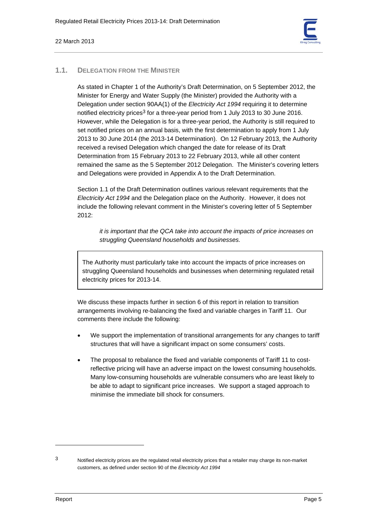

# **1.1. DELEGATION FROM THE MINISTER**

As stated in Chapter 1 of the Authority's Draft Determination, on 5 September 2012, the Minister for Energy and Water Supply (the Minister) provided the Authority with a Delegation under section 90AA(1) of the *Electricity Act 1994* requiring it to determine notified electricity prices<sup>3</sup> for a three-year period from 1 July 2013 to 30 June 2016. However, while the Delegation is for a three-year period, the Authority is still required to set notified prices on an annual basis, with the first determination to apply from 1 July 2013 to 30 June 2014 (the 2013-14 Determination). On 12 February 2013, the Authority received a revised Delegation which changed the date for release of its Draft Determination from 15 February 2013 to 22 February 2013, while all other content remained the same as the 5 September 2012 Delegation. The Minister's covering letters and Delegations were provided in Appendix A to the Draft Determination.

Section 1.1 of the Draft Determination outlines various relevant requirements that the *Electricity Act 1994* and the Delegation place on the Authority. However, it does not include the following relevant comment in the Minister's covering letter of 5 September 2012:

*it is important that the QCA take into account the impacts of price increases on struggling Queensland households and businesses.* 

The Authority must particularly take into account the impacts of price increases on struggling Queensland households and businesses when determining regulated retail electricity prices for 2013-14.

We discuss these impacts further in section 6 of this report in relation to transition arrangements involving re-balancing the fixed and variable charges in Tariff 11. Our comments there include the following:

- We support the implementation of transitional arrangements for any changes to tariff structures that will have a significant impact on some consumers' costs.
- The proposal to rebalance the fixed and variable components of Tariff 11 to costreflective pricing will have an adverse impact on the lowest consuming households. Many low-consuming households are vulnerable consumers who are least likely to be able to adapt to significant price increases. We support a staged approach to minimise the immediate bill shock for consumers.

<sup>3</sup> Notified electricity prices are the regulated retail electricity prices that a retailer may charge its non-market customers, as defined under section 90 of the *Electricity Act 1994*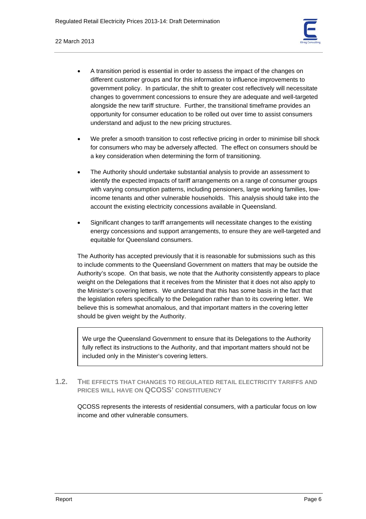

- A transition period is essential in order to assess the impact of the changes on different customer groups and for this information to influence improvements to government policy. In particular, the shift to greater cost reflectively will necessitate changes to government concessions to ensure they are adequate and well-targeted alongside the new tariff structure. Further, the transitional timeframe provides an opportunity for consumer education to be rolled out over time to assist consumers understand and adjust to the new pricing structures.
- We prefer a smooth transition to cost reflective pricing in order to minimise bill shock for consumers who may be adversely affected. The effect on consumers should be a key consideration when determining the form of transitioning.
- The Authority should undertake substantial analysis to provide an assessment to identify the expected impacts of tariff arrangements on a range of consumer groups with varying consumption patterns, including pensioners, large working families, lowincome tenants and other vulnerable households. This analysis should take into the account the existing electricity concessions available in Queensland.
- Significant changes to tariff arrangements will necessitate changes to the existing energy concessions and support arrangements, to ensure they are well-targeted and equitable for Queensland consumers.

The Authority has accepted previously that it is reasonable for submissions such as this to include comments to the Queensland Government on matters that may be outside the Authority's scope. On that basis, we note that the Authority consistently appears to place weight on the Delegations that it receives from the Minister that it does not also apply to the Minister's covering letters. We understand that this has some basis in the fact that the legislation refers specifically to the Delegation rather than to its covering letter. We believe this is somewhat anomalous, and that important matters in the covering letter should be given weight by the Authority.

We urge the Queensland Government to ensure that its Delegations to the Authority fully reflect its instructions to the Authority, and that important matters should not be included only in the Minister's covering letters.

# **1.2. THE EFFECTS THAT CHANGES TO REGULATED RETAIL ELECTRICITY TARIFFS AND PRICES WILL HAVE ON QCOSS' CONSTITUENCY**

QCOSS represents the interests of residential consumers, with a particular focus on low income and other vulnerable consumers.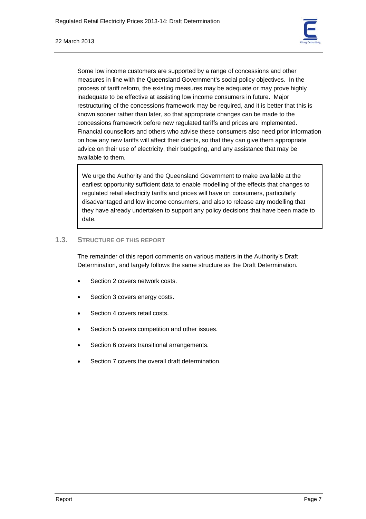

Some low income customers are supported by a range of concessions and other measures in line with the Queensland Government's social policy objectives. In the process of tariff reform, the existing measures may be adequate or may prove highly inadequate to be effective at assisting low income consumers in future. Major restructuring of the concessions framework may be required, and it is better that this is known sooner rather than later, so that appropriate changes can be made to the concessions framework before new regulated tariffs and prices are implemented. Financial counsellors and others who advise these consumers also need prior information on how any new tariffs will affect their clients, so that they can give them appropriate advice on their use of electricity, their budgeting, and any assistance that may be available to them.

We urge the Authority and the Queensland Government to make available at the earliest opportunity sufficient data to enable modelling of the effects that changes to regulated retail electricity tariffs and prices will have on consumers, particularly disadvantaged and low income consumers, and also to release any modelling that they have already undertaken to support any policy decisions that have been made to date.

# **1.3. STRUCTURE OF THIS REPORT**

The remainder of this report comments on various matters in the Authority's Draft Determination, and largely follows the same structure as the Draft Determination.

- Section 2 covers network costs.
- Section 3 covers energy costs.
- Section 4 covers retail costs.
- Section 5 covers competition and other issues.
- Section 6 covers transitional arrangements.
- Section 7 covers the overall draft determination.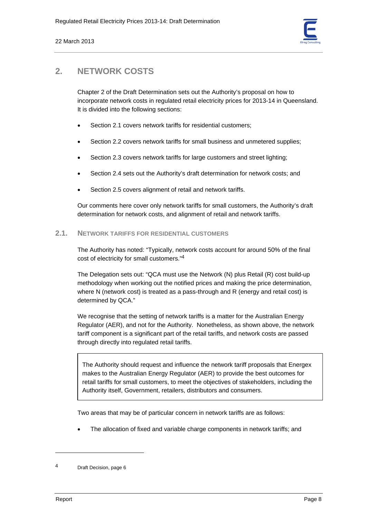

# **2. NETWORK COSTS**

Chapter 2 of the Draft Determination sets out the Authority's proposal on how to incorporate network costs in regulated retail electricity prices for 2013-14 in Queensland. It is divided into the following sections:

- Section 2.1 covers network tariffs for residential customers;
- Section 2.2 covers network tariffs for small business and unmetered supplies;
- Section 2.3 covers network tariffs for large customers and street lighting;
- Section 2.4 sets out the Authority's draft determination for network costs; and
- Section 2.5 covers alignment of retail and network tariffs.

Our comments here cover only network tariffs for small customers, the Authority's draft determination for network costs, and alignment of retail and network tariffs.

# **2.1. NETWORK TARIFFS FOR RESIDENTIAL CUSTOMERS**

The Authority has noted: "Typically, network costs account for around 50% of the final cost of electricity for small customers."4

The Delegation sets out: "QCA must use the Network (N) plus Retail (R) cost build-up methodology when working out the notified prices and making the price determination, where N (network cost) is treated as a pass-through and R (energy and retail cost) is determined by QCA."

We recognise that the setting of network tariffs is a matter for the Australian Energy Regulator (AER), and not for the Authority. Nonetheless, as shown above, the network tariff component is a significant part of the retail tariffs, and network costs are passed through directly into regulated retail tariffs.

The Authority should request and influence the network tariff proposals that Energex makes to the Australian Energy Regulator (AER) to provide the best outcomes for retail tariffs for small customers, to meet the objectives of stakeholders, including the Authority itself, Government, retailers, distributors and consumers.

Two areas that may be of particular concern in network tariffs are as follows:

• The allocation of fixed and variable charge components in network tariffs; and

<sup>4</sup> Draft Decision, page 6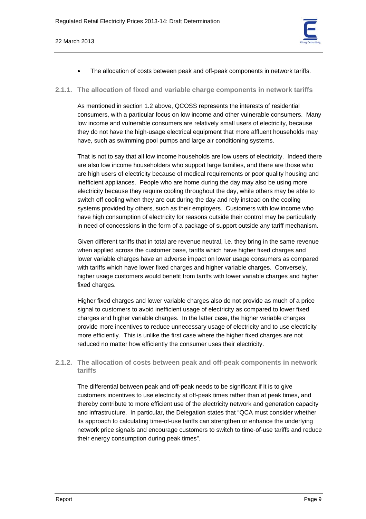

The allocation of costs between peak and off-peak components in network tariffs.

#### **2.1.1. The allocation of fixed and variable charge components in network tariffs**

As mentioned in section 1.2 above, QCOSS represents the interests of residential consumers, with a particular focus on low income and other vulnerable consumers. Many low income and vulnerable consumers are relatively small users of electricity, because they do not have the high-usage electrical equipment that more affluent households may have, such as swimming pool pumps and large air conditioning systems.

That is not to say that all low income households are low users of electricity. Indeed there are also low income householders who support large families, and there are those who are high users of electricity because of medical requirements or poor quality housing and inefficient appliances. People who are home during the day may also be using more electricity because they require cooling throughout the day, while others may be able to switch off cooling when they are out during the day and rely instead on the cooling systems provided by others, such as their employers. Customers with low income who have high consumption of electricity for reasons outside their control may be particularly in need of concessions in the form of a package of support outside any tariff mechanism.

Given different tariffs that in total are revenue neutral, i.e. they bring in the same revenue when applied across the customer base, tariffs which have higher fixed charges and lower variable charges have an adverse impact on lower usage consumers as compared with tariffs which have lower fixed charges and higher variable charges. Conversely, higher usage customers would benefit from tariffs with lower variable charges and higher fixed charges.

Higher fixed charges and lower variable charges also do not provide as much of a price signal to customers to avoid inefficient usage of electricity as compared to lower fixed charges and higher variable charges. In the latter case, the higher variable charges provide more incentives to reduce unnecessary usage of electricity and to use electricity more efficiently. This is unlike the first case where the higher fixed charges are not reduced no matter how efficiently the consumer uses their electricity.

# **2.1.2. The allocation of costs between peak and off-peak components in network tariffs**

The differential between peak and off-peak needs to be significant if it is to give customers incentives to use electricity at off-peak times rather than at peak times, and thereby contribute to more efficient use of the electricity network and generation capacity and infrastructure. In particular, the Delegation states that "QCA must consider whether its approach to calculating time-of-use tariffs can strengthen or enhance the underlying network price signals and encourage customers to switch to time-of-use tariffs and reduce their energy consumption during peak times".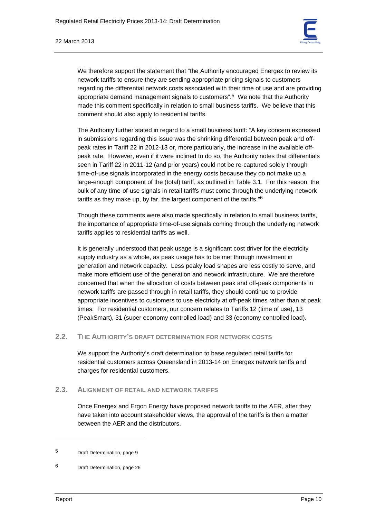

We therefore support the statement that "the Authority encouraged Energex to review its network tariffs to ensure they are sending appropriate pricing signals to customers regarding the differential network costs associated with their time of use and are providing appropriate demand management signals to customers".5 We note that the Authority made this comment specifically in relation to small business tariffs. We believe that this comment should also apply to residential tariffs.

The Authority further stated in regard to a small business tariff: "A key concern expressed in submissions regarding this issue was the shrinking differential between peak and offpeak rates in Tariff 22 in 2012-13 or, more particularly, the increase in the available offpeak rate. However, even if it were inclined to do so, the Authority notes that differentials seen in Tariff 22 in 2011-12 (and prior years) could not be re-captured solely through time-of-use signals incorporated in the energy costs because they do not make up a large-enough component of the (total) tariff, as outlined in Table 3.1. For this reason, the bulk of any time-of-use signals in retail tariffs must come through the underlying network tariffs as they make up, by far, the largest component of the tariffs."6

Though these comments were also made specifically in relation to small business tariffs, the importance of appropriate time-of-use signals coming through the underlying network tariffs applies to residential tariffs as well.

It is generally understood that peak usage is a significant cost driver for the electricity supply industry as a whole, as peak usage has to be met through investment in generation and network capacity. Less peaky load shapes are less costly to serve, and make more efficient use of the generation and network infrastructure. We are therefore concerned that when the allocation of costs between peak and off-peak components in network tariffs are passed through in retail tariffs, they should continue to provide appropriate incentives to customers to use electricity at off-peak times rather than at peak times. For residential customers, our concern relates to Tariffs 12 (time of use), 13 (PeakSmart), 31 (super economy controlled load) and 33 (economy controlled load).

# **2.2. THE AUTHORITY'S DRAFT DETERMINATION FOR NETWORK COSTS**

We support the Authority's draft determination to base regulated retail tariffs for residential customers across Queensland in 2013-14 on Energex network tariffs and charges for residential customers.

# **2.3. ALIGNMENT OF RETAIL AND NETWORK TARIFFS**

Once Energex and Ergon Energy have proposed network tariffs to the AER, after they have taken into account stakeholder views, the approval of the tariffs is then a matter between the AER and the distributors.

<sup>5</sup> Draft Determination, page 9

<sup>6</sup> Draft Determination, page 26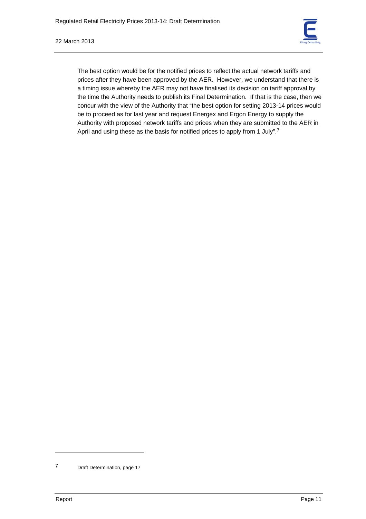

The best option would be for the notified prices to reflect the actual network tariffs and prices after they have been approved by the AER. However, we understand that there is a timing issue whereby the AER may not have finalised its decision on tariff approval by the time the Authority needs to publish its Final Determination. If that is the case, then we concur with the view of the Authority that "the best option for setting 2013-14 prices would be to proceed as for last year and request Energex and Ergon Energy to supply the Authority with proposed network tariffs and prices when they are submitted to the AER in April and using these as the basis for notified prices to apply from 1 July".<sup>7</sup>

<sup>7</sup> Draft Determination, page 17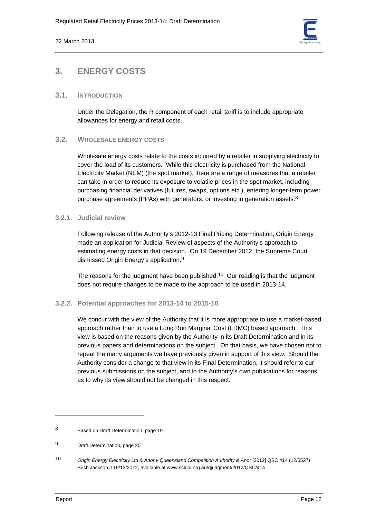

# **3. ENERGY COSTS**

# **3.1. INTRODUCTION**

Under the Delegation, the R component of each retail tariff is to include appropriate allowances for energy and retail costs.

# **3.2. WHOLESALE ENERGY COSTS**

Wholesale energy costs relate to the costs incurred by a retailer in supplying electricity to cover the load of its customers. While this electricity is purchased from the National Electricity Market (NEM) (the spot market), there are a range of measures that a retailer can take in order to reduce its exposure to volatile prices in the spot market, including purchasing financial derivatives (futures, swaps, options etc.), entering longer-term power purchase agreements (PPAs) with generators, or investing in generation assets. $8$ 

# **3.2.1. Judicial review**

Following release of the Authority's 2012-13 Final Pricing Determination, Origin Energy made an application for Judicial Review of aspects of the Authority's approach to estimating energy costs in that decision. On 19 December 2012, the Supreme Court dismissed Origin Energy's application.9

The reasons for the judgment have been published.<sup>10</sup> Our reading is that the judgment does not require changes to be made to the approach to be used in 2013-14.

# **3.2.2. Potential approaches for 2013-14 to 2015-16**

We concur with the view of the Authority that it is more appropriate to use a market-based approach rather than to use a Long Run Marginal Cost (LRMC) based approach. This view is based on the reasons given by the Authority in its Draft Determination and in its previous papers and determinations on the subject. On that basis, we have chosen not to repeat the many arguments we have previously given in support of this view. Should the Authority consider a change to that view in its Final Determination, it should refer to our previous submissions on the subject, and to the Authority's own publications for reasons as to why its view should not be changed in this respect.

<sup>8</sup> Based on Draft Determination, page 19

<sup>9</sup> Draft Determination, page 20

<sup>10</sup> *Origin Energy Electricity Ltd & Anor v Queensland Competition Authority & Anor* [2012] QSC 414 (12/5527) Brisb Jackson J 19/12/2012, available at www.sclqld.org.au/qjudgment/2012/QSC/414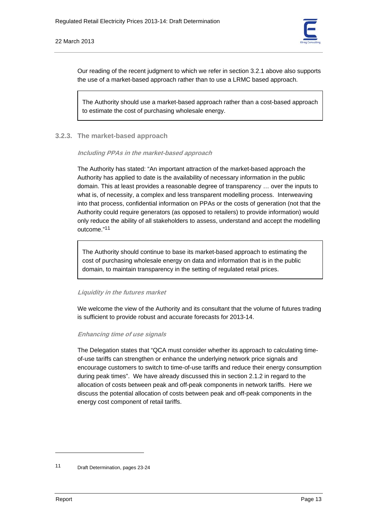

Our reading of the recent judgment to which we refer in section 3.2.1 above also supports the use of a market-based approach rather than to use a LRMC based approach.

The Authority should use a market-based approach rather than a cost-based approach to estimate the cost of purchasing wholesale energy.

#### **3.2.3. The market-based approach**

**Including PPAs in the market-based approach** 

The Authority has stated: "An important attraction of the market-based approach the Authority has applied to date is the availability of necessary information in the public domain. This at least provides a reasonable degree of transparency … over the inputs to what is, of necessity, a complex and less transparent modelling process. Interweaving into that process, confidential information on PPAs or the costs of generation (not that the Authority could require generators (as opposed to retailers) to provide information) would only reduce the ability of all stakeholders to assess, understand and accept the modelling outcome."11

The Authority should continue to base its market-based approach to estimating the cost of purchasing wholesale energy on data and information that is in the public domain, to maintain transparency in the setting of regulated retail prices.

#### **Liquidity in the futures market**

We welcome the view of the Authority and its consultant that the volume of futures trading is sufficient to provide robust and accurate forecasts for 2013-14.

#### **Enhancing time of use signals**

The Delegation states that "QCA must consider whether its approach to calculating timeof-use tariffs can strengthen or enhance the underlying network price signals and encourage customers to switch to time-of-use tariffs and reduce their energy consumption during peak times". We have already discussed this in section 2.1.2 in regard to the allocation of costs between peak and off-peak components in network tariffs. Here we discuss the potential allocation of costs between peak and off-peak components in the energy cost component of retail tariffs.

<sup>11</sup> Draft Determination, pages 23-24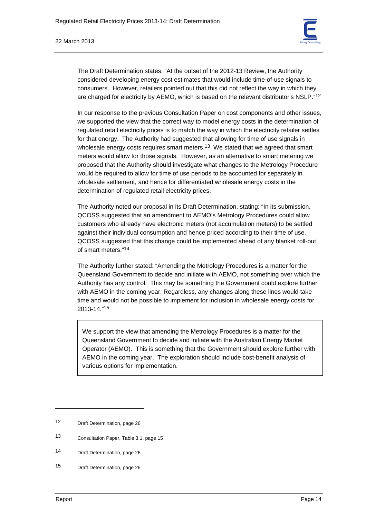

The Draft Determination states: "At the outset of the 2012-13 Review, the Authority considered developing energy cost estimates that would include time-of-use signals to consumers. However, retailers pointed out that this did not reflect the way in which they are charged for electricity by AEMO, which is based on the relevant distributor's NSLP."12

In our response to the previous Consultation Paper on cost components and other issues, we supported the view that the correct way to model energy costs in the determination of regulated retail electricity prices is to match the way in which the electricity retailer settles for that energy. The Authority had suggested that allowing for time of use signals in wholesale energy costs requires smart meters.<sup>13</sup> We stated that we agreed that smart meters would allow for those signals. However, as an alternative to smart metering we proposed that the Authority should investigate what changes to the Metrology Procedure would be required to allow for time of use periods to be accounted for separately in wholesale settlement, and hence for differentiated wholesale energy costs in the determination of regulated retail electricity prices.

The Authority noted our proposal in its Draft Determination, stating: "In its submission, QCOSS suggested that an amendment to AEMO's Metrology Procedures could allow customers who already have electronic meters (not accumulation meters) to be settled against their individual consumption and hence priced according to their time of use. QCOSS suggested that this change could be implemented ahead of any blanket roll-out of smart meters."14

The Authority further stated: "Amending the Metrology Procedures is a matter for the Queensland Government to decide and initiate with AEMO, not something over which the Authority has any control. This may be something the Government could explore further with AEMO in the coming year. Regardless, any changes along these lines would take time and would not be possible to implement for inclusion in wholesale energy costs for 2013-14."15

We support the view that amending the Metrology Procedures is a matter for the Queensland Government to decide and initiate with the Australian Energy Market Operator (AEMO). This is something that the Government should explore further with AEMO in the coming year. The exploration should include cost-benefit analysis of various options for implementation.

13 Consultation Paper, Table 3.1, page 15

15 Draft Determination, page 26

<sup>12</sup> Draft Determination, page 26

<sup>14</sup> Draft Determination, page 26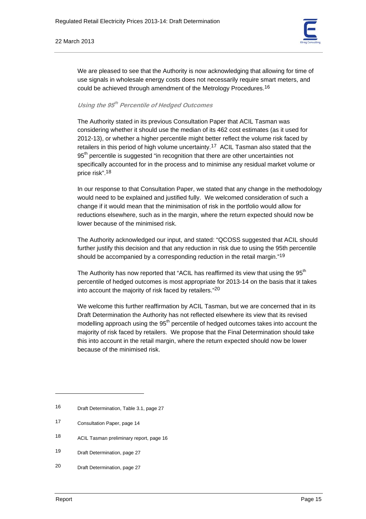

We are pleased to see that the Authority is now acknowledging that allowing for time of use signals in wholesale energy costs does not necessarily require smart meters, and could be achieved through amendment of the Metrology Procedures.16

# **Using the 95th Percentile of Hedged Outcomes**

The Authority stated in its previous Consultation Paper that ACIL Tasman was considering whether it should use the median of its 462 cost estimates (as it used for 2012-13), or whether a higher percentile might better reflect the volume risk faced by retailers in this period of high volume uncertainty.<sup>17</sup> ACIL Tasman also stated that the 95<sup>th</sup> percentile is suggested "in recognition that there are other uncertainties not specifically accounted for in the process and to minimise any residual market volume or price risk".18

In our response to that Consultation Paper, we stated that any change in the methodology would need to be explained and justified fully. We welcomed consideration of such a change if it would mean that the minimisation of risk in the portfolio would allow for reductions elsewhere, such as in the margin, where the return expected should now be lower because of the minimised risk.

The Authority acknowledged our input, and stated: "QCOSS suggested that ACIL should further justify this decision and that any reduction in risk due to using the 95th percentile should be accompanied by a corresponding reduction in the retail margin."19

The Authority has now reported that "ACIL has reaffirmed its view that using the  $95<sup>th</sup>$ percentile of hedged outcomes is most appropriate for 2013-14 on the basis that it takes into account the majority of risk faced by retailers."20

We welcome this further reaffirmation by ACIL Tasman, but we are concerned that in its Draft Determination the Authority has not reflected elsewhere its view that its revised modelling approach using the  $95<sup>th</sup>$  percentile of hedged outcomes takes into account the majority of risk faced by retailers. We propose that the Final Determination should take this into account in the retail margin, where the return expected should now be lower because of the minimised risk.

- 18 ACIL Tasman preliminary report, page 16
- 19 Draft Determination, page 27
- 20 Draft Determination, page 27

<sup>16</sup> Draft Determination, Table 3.1, page 27

<sup>17</sup> Consultation Paper, page 14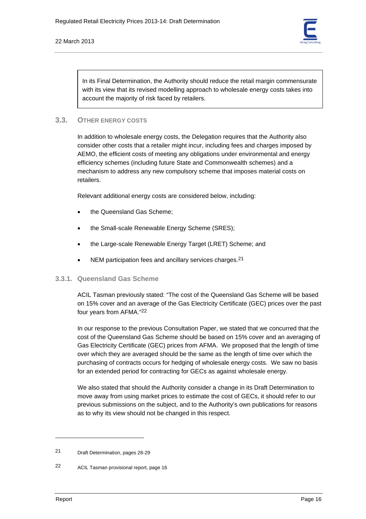

In its Final Determination, the Authority should reduce the retail margin commensurate with its view that its revised modelling approach to wholesale energy costs takes into account the majority of risk faced by retailers.

# **3.3. OTHER ENERGY COSTS**

In addition to wholesale energy costs, the Delegation requires that the Authority also consider other costs that a retailer might incur, including fees and charges imposed by AEMO, the efficient costs of meeting any obligations under environmental and energy efficiency schemes (including future State and Commonwealth schemes) and a mechanism to address any new compulsory scheme that imposes material costs on retailers.

Relevant additional energy costs are considered below, including:

- the Queensland Gas Scheme:
- the Small-scale Renewable Energy Scheme (SRES);
- the Large-scale Renewable Energy Target (LRET) Scheme; and
- NEM participation fees and ancillary services charges.<sup>21</sup>

# **3.3.1. Queensland Gas Scheme**

ACIL Tasman previously stated: "The cost of the Queensland Gas Scheme will be based on 15% cover and an average of the Gas Electricity Certificate (GEC) prices over the past four years from AFMA."22

In our response to the previous Consultation Paper, we stated that we concurred that the cost of the Queensland Gas Scheme should be based on 15% cover and an averaging of Gas Electricity Certificate (GEC) prices from AFMA. We proposed that the length of time over which they are averaged should be the same as the length of time over which the purchasing of contracts occurs for hedging of wholesale energy costs. We saw no basis for an extended period for contracting for GECs as against wholesale energy.

We also stated that should the Authority consider a change in its Draft Determination to move away from using market prices to estimate the cost of GECs, it should refer to our previous submissions on the subject, and to the Authority's own publications for reasons as to why its view should not be changed in this respect.

<sup>21</sup> Draft Determination, pages 28-29

<sup>22</sup> ACIL Tasman provisional report, page 16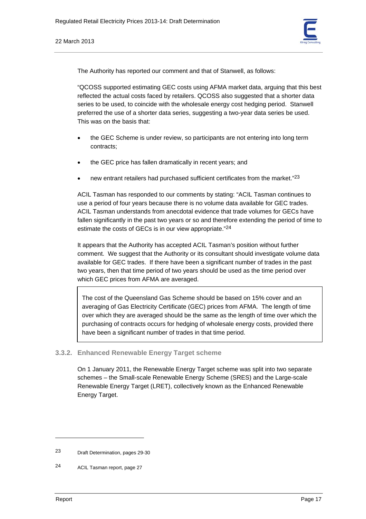

The Authority has reported our comment and that of Stanwell, as follows:

"QCOSS supported estimating GEC costs using AFMA market data, arguing that this best reflected the actual costs faced by retailers. QCOSS also suggested that a shorter data series to be used, to coincide with the wholesale energy cost hedging period. Stanwell preferred the use of a shorter data series, suggesting a two-year data series be used. This was on the basis that:

- the GEC Scheme is under review, so participants are not entering into long term contracts;
- the GEC price has fallen dramatically in recent years; and
- new entrant retailers had purchased sufficient certificates from the market."<sup>23</sup>

ACIL Tasman has responded to our comments by stating: "ACIL Tasman continues to use a period of four years because there is no volume data available for GEC trades. ACIL Tasman understands from anecdotal evidence that trade volumes for GECs have fallen significantly in the past two years or so and therefore extending the period of time to estimate the costs of GECs is in our view appropriate."<sup>24</sup>

It appears that the Authority has accepted ACIL Tasman's position without further comment. We suggest that the Authority or its consultant should investigate volume data available for GEC trades. If there have been a significant number of trades in the past two years, then that time period of two years should be used as the time period over which GEC prices from AFMA are averaged.

The cost of the Queensland Gas Scheme should be based on 15% cover and an averaging of Gas Electricity Certificate (GEC) prices from AFMA. The length of time over which they are averaged should be the same as the length of time over which the purchasing of contracts occurs for hedging of wholesale energy costs, provided there have been a significant number of trades in that time period.

#### **3.3.2. Enhanced Renewable Energy Target scheme**

On 1 January 2011, the Renewable Energy Target scheme was split into two separate schemes – the Small-scale Renewable Energy Scheme (SRES) and the Large-scale Renewable Energy Target (LRET), collectively known as the Enhanced Renewable Energy Target.

<sup>23</sup> Draft Determination, pages 29-30

<sup>24</sup> ACIL Tasman report, page 27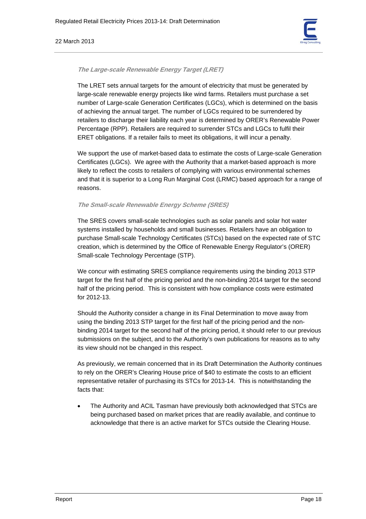#### 22 March 2013



#### **The Large-scale Renewable Energy Target (LRET)**

The LRET sets annual targets for the amount of electricity that must be generated by large-scale renewable energy projects like wind farms. Retailers must purchase a set number of Large-scale Generation Certificates (LGCs), which is determined on the basis of achieving the annual target. The number of LGCs required to be surrendered by retailers to discharge their liability each year is determined by ORER's Renewable Power Percentage (RPP). Retailers are required to surrender STCs and LGCs to fulfil their ERET obligations. If a retailer fails to meet its obligations, it will incur a penalty.

We support the use of market-based data to estimate the costs of Large-scale Generation Certificates (LGCs). We agree with the Authority that a market-based approach is more likely to reflect the costs to retailers of complying with various environmental schemes and that it is superior to a Long Run Marginal Cost (LRMC) based approach for a range of reasons.

#### **The Small-scale Renewable Energy Scheme (SRES)**

The SRES covers small-scale technologies such as solar panels and solar hot water systems installed by households and small businesses. Retailers have an obligation to purchase Small-scale Technology Certificates (STCs) based on the expected rate of STC creation, which is determined by the Office of Renewable Energy Regulator's (ORER) Small-scale Technology Percentage (STP).

We concur with estimating SRES compliance requirements using the binding 2013 STP target for the first half of the pricing period and the non-binding 2014 target for the second half of the pricing period. This is consistent with how compliance costs were estimated for 2012-13.

Should the Authority consider a change in its Final Determination to move away from using the binding 2013 STP target for the first half of the pricing period and the nonbinding 2014 target for the second half of the pricing period, it should refer to our previous submissions on the subject, and to the Authority's own publications for reasons as to why its view should not be changed in this respect.

As previously, we remain concerned that in its Draft Determination the Authority continues to rely on the ORER's Clearing House price of \$40 to estimate the costs to an efficient representative retailer of purchasing its STCs for 2013-14. This is notwithstanding the facts that:

• The Authority and ACIL Tasman have previously both acknowledged that STCs are being purchased based on market prices that are readily available, and continue to acknowledge that there is an active market for STCs outside the Clearing House.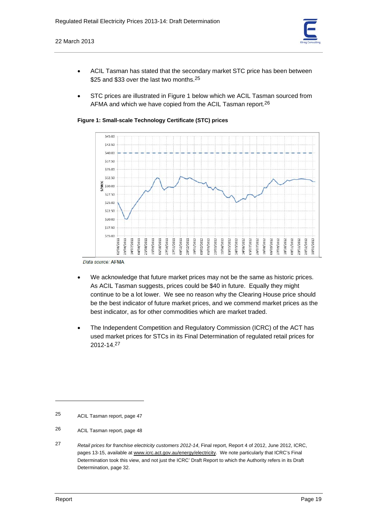

- ACIL Tasman has stated that the secondary market STC price has been between \$25 and \$33 over the last two months.<sup>25</sup>
- STC prices are illustrated in Figure 1 below which we ACIL Tasman sourced from AFMA and which we have copied from the ACIL Tasman report.<sup>26</sup>

**Figure 1: Small-scale Technology Certificate (STC) prices** 



Data source: AFMA

- We acknowledge that future market prices may not be the same as historic prices. As ACIL Tasman suggests, prices could be \$40 in future. Equally they might continue to be a lot lower. We see no reason why the Clearing House price should be the best indicator of future market prices, and we commend market prices as the best indicator, as for other commodities which are market traded.
- The Independent Competition and Regulatory Commission (ICRC) of the ACT has used market prices for STCs in its Final Determination of regulated retail prices for 2012-14.27

<sup>25</sup> ACIL Tasman report, page 47

<sup>26</sup> ACIL Tasman report, page 48

<sup>27</sup> *Retail prices for franchise electricity customers 2012-14*, Final report, Report 4 of 2012, June 2012, ICRC, pages 13-15, available at www.icrc.act.gov.au/energy/electricity. We note particularly that ICRC's Final Determination took this view, and not just the ICRC' Draft Report to which the Authority refers in its Draft Determination, page 32.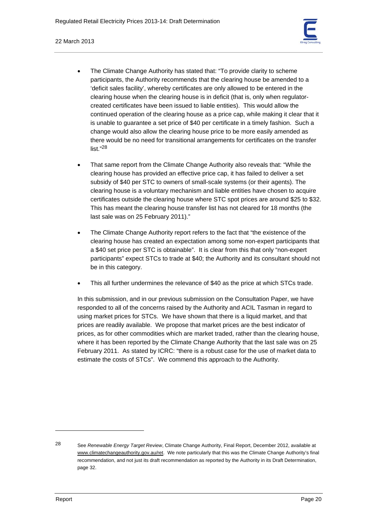#### 22 March 2013

- The Climate Change Authority has stated that: "To provide clarity to scheme participants, the Authority recommends that the clearing house be amended to a 'deficit sales facility', whereby certificates are only allowed to be entered in the clearing house when the clearing house is in deficit (that is, only when regulatorcreated certificates have been issued to liable entities). This would allow the continued operation of the clearing house as a price cap, while making it clear that it is unable to guarantee a set price of \$40 per certificate in a timely fashion. Such a change would also allow the clearing house price to be more easily amended as there would be no need for transitional arrangements for certificates on the transfer list."28
- That same report from the Climate Change Authority also reveals that: "While the clearing house has provided an effective price cap, it has failed to deliver a set subsidy of \$40 per STC to owners of small-scale systems (or their agents). The clearing house is a voluntary mechanism and liable entities have chosen to acquire certificates outside the clearing house where STC spot prices are around \$25 to \$32. This has meant the clearing house transfer list has not cleared for 18 months (the last sale was on 25 February 2011)."
- The Climate Change Authority report refers to the fact that "the existence of the clearing house has created an expectation among some non-expert participants that a \$40 set price per STC is obtainable". It is clear from this that only "non-expert participants" expect STCs to trade at \$40; the Authority and its consultant should not be in this category.
- This all further undermines the relevance of \$40 as the price at which STCs trade.

In this submission, and in our previous submission on the Consultation Paper, we have responded to all of the concerns raised by the Authority and ACIL Tasman in regard to using market prices for STCs. We have shown that there is a liquid market, and that prices are readily available. We propose that market prices are the best indicator of prices, as for other commodities which are market traded, rather than the clearing house, where it has been reported by the Climate Change Authority that the last sale was on 25 February 2011. As stated by ICRC: "there is a robust case for the use of market data to estimate the costs of STCs". We commend this approach to the Authority.

<sup>28</sup> See *Renewable Energy Target Review*, Climate Change Authority, Final Report, December 2012, available at www.climatechangeauthority.gov.au/ret. We note particularly that this was the Climate Change Authority's final recommendation, and not just its draft recommendation as reported by the Authority in its Draft Determination, page 32.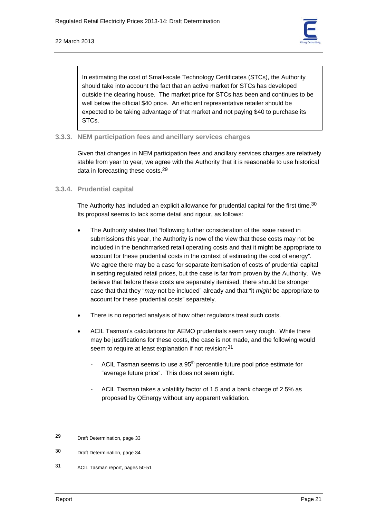

In estimating the cost of Small-scale Technology Certificates (STCs), the Authority should take into account the fact that an active market for STCs has developed outside the clearing house. The market price for STCs has been and continues to be well below the official \$40 price. An efficient representative retailer should be expected to be taking advantage of that market and not paying \$40 to purchase its STCs.

# **3.3.3. NEM participation fees and ancillary services charges**

Given that changes in NEM participation fees and ancillary services charges are relatively stable from year to year, we agree with the Authority that it is reasonable to use historical data in forecasting these costs.29

#### **3.3.4. Prudential capital**

The Authority has included an explicit allowance for prudential capital for the first time.<sup>30</sup> Its proposal seems to lack some detail and rigour, as follows:

- The Authority states that "following further consideration of the issue raised in submissions this year, the Authority is now of the view that these costs may not be included in the benchmarked retail operating costs and that it might be appropriate to account for these prudential costs in the context of estimating the cost of energy". We agree there may be a case for separate itemisation of costs of prudential capital in setting regulated retail prices, but the case is far from proven by the Authority. We believe that before these costs are separately itemised, there should be stronger case that that they "*may* not be included" already and that "it *might* be appropriate to account for these prudential costs" separately.
- There is no reported analysis of how other regulators treat such costs.
- ACIL Tasman's calculations for AEMO prudentials seem very rough. While there may be justifications for these costs, the case is not made, and the following would seem to require at least explanation if not revision:<sup>31</sup>
	- ACIL Tasman seems to use a  $95<sup>th</sup>$  percentile future pool price estimate for "average future price". This does not seem right.
	- ACIL Tasman takes a volatility factor of 1.5 and a bank charge of 2.5% as proposed by QEnergy without any apparent validation.

<sup>29</sup> Draft Determination, page 33

<sup>30</sup> Draft Determination, page 34

<sup>31</sup> ACIL Tasman report, pages 50-51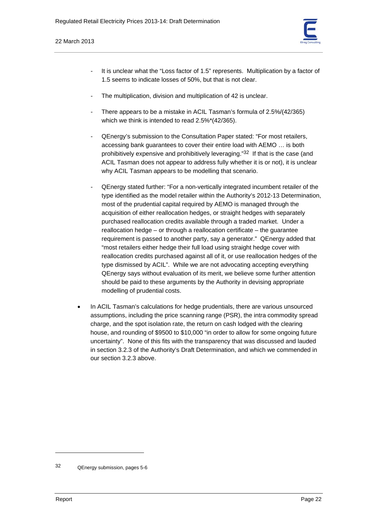

- It is unclear what the "Loss factor of 1.5" represents. Multiplication by a factor of 1.5 seems to indicate losses of 50%, but that is not clear.
- The multiplication, division and multiplication of 42 is unclear.
- There appears to be a mistake in ACIL Tasman's formula of 2.5%/(42/365) which we think is intended to read 2.5%\*(42/365).
- QEnergy's submission to the Consultation Paper stated: "For most retailers, accessing bank guarantees to cover their entire load with AEMO … is both prohibitively expensive and prohibitively leveraging."32 If that is the case (and ACIL Tasman does not appear to address fully whether it is or not), it is unclear why ACIL Tasman appears to be modelling that scenario.
- QEnergy stated further: "For a non-vertically integrated incumbent retailer of the type identified as the model retailer within the Authority's 2012-13 Determination, most of the prudential capital required by AEMO is managed through the acquisition of either reallocation hedges, or straight hedges with separately purchased reallocation credits available through a traded market. Under a reallocation hedge – or through a reallocation certificate – the guarantee requirement is passed to another party, say a generator." QEnergy added that "most retailers either hedge their full load using straight hedge cover with reallocation credits purchased against all of it, or use reallocation hedges of the type dismissed by ACIL". While we are not advocating accepting everything QEnergy says without evaluation of its merit, we believe some further attention should be paid to these arguments by the Authority in devising appropriate modelling of prudential costs.
- In ACIL Tasman's calculations for hedge prudentials, there are various unsourced assumptions, including the price scanning range (PSR), the intra commodity spread charge, and the spot isolation rate, the return on cash lodged with the clearing house, and rounding of \$9500 to \$10,000 "in order to allow for some ongoing future uncertainty". None of this fits with the transparency that was discussed and lauded in section 3.2.3 of the Authority's Draft Determination, and which we commended in our section 3.2.3 above.

<sup>32</sup> QEnergy submission, pages 5-6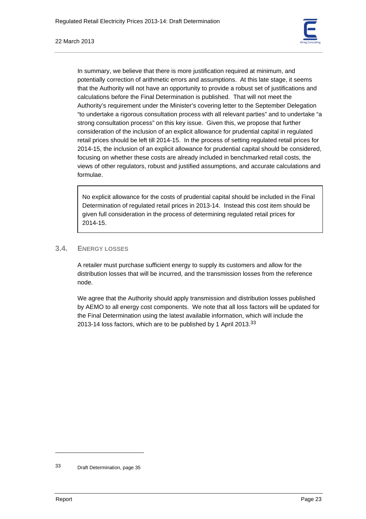

In summary, we believe that there is more justification required at minimum, and potentially correction of arithmetic errors and assumptions. At this late stage, it seems that the Authority will not have an opportunity to provide a robust set of justifications and calculations before the Final Determination is published. That will not meet the Authority's requirement under the Minister's covering letter to the September Delegation "to undertake a rigorous consultation process with all relevant parties" and to undertake "a strong consultation process" on this key issue. Given this, we propose that further consideration of the inclusion of an explicit allowance for prudential capital in regulated retail prices should be left till 2014-15. In the process of setting regulated retail prices for 2014-15, the inclusion of an explicit allowance for prudential capital should be considered, focusing on whether these costs are already included in benchmarked retail costs, the views of other regulators, robust and justified assumptions, and accurate calculations and formulae.

No explicit allowance for the costs of prudential capital should be included in the Final Determination of regulated retail prices in 2013-14. Instead this cost item should be given full consideration in the process of determining regulated retail prices for 2014-15.

# **3.4. ENERGY LOSSES**

A retailer must purchase sufficient energy to supply its customers and allow for the distribution losses that will be incurred, and the transmission losses from the reference node.

We agree that the Authority should apply transmission and distribution losses published by AEMO to all energy cost components. We note that all loss factors will be updated for the Final Determination using the latest available information, which will include the 2013-14 loss factors, which are to be published by 1 April 2013.33

<sup>33</sup> Draft Determination, page 35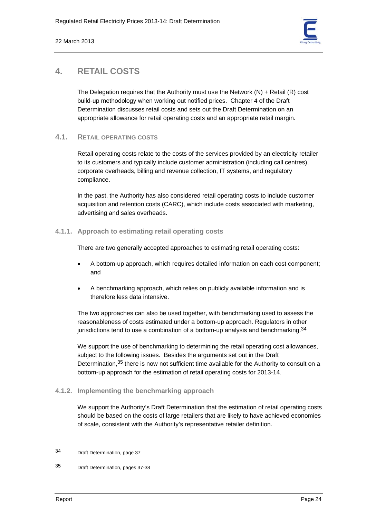

# **4. RETAIL COSTS**

The Delegation requires that the Authority must use the Network  $(N) +$  Retail  $(R)$  cost build-up methodology when working out notified prices. Chapter 4 of the Draft Determination discusses retail costs and sets out the Draft Determination on an appropriate allowance for retail operating costs and an appropriate retail margin.

# **4.1. RETAIL OPERATING COSTS**

Retail operating costs relate to the costs of the services provided by an electricity retailer to its customers and typically include customer administration (including call centres), corporate overheads, billing and revenue collection, IT systems, and regulatory compliance.

In the past, the Authority has also considered retail operating costs to include customer acquisition and retention costs (CARC), which include costs associated with marketing, advertising and sales overheads.

# **4.1.1. Approach to estimating retail operating costs**

There are two generally accepted approaches to estimating retail operating costs:

- A bottom-up approach, which requires detailed information on each cost component; and
- A benchmarking approach, which relies on publicly available information and is therefore less data intensive.

The two approaches can also be used together, with benchmarking used to assess the reasonableness of costs estimated under a bottom-up approach. Regulators in other jurisdictions tend to use a combination of a bottom-up analysis and benchmarking.  $34$ 

We support the use of benchmarking to determining the retail operating cost allowances, subject to the following issues. Besides the arguments set out in the Draft Determination,<sup>35</sup> there is now not sufficient time available for the Authority to consult on a bottom-up approach for the estimation of retail operating costs for 2013-14.

# **4.1.2. Implementing the benchmarking approach**

We support the Authority's Draft Determination that the estimation of retail operating costs should be based on the costs of large retailers that are likely to have achieved economies of scale, consistent with the Authority's representative retailer definition.

<sup>34</sup> Draft Determination, page 37

<sup>35</sup> Draft Determination, pages 37-38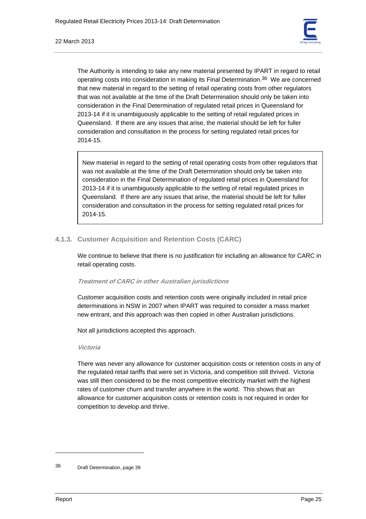

The Authority is intending to take any new material presented by IPART in regard to retail operating costs into consideration in making its Final Determination.36 We are concerned that new material in regard to the setting of retail operating costs from other regulators that was not available at the time of the Draft Determination should only be taken into consideration in the Final Determination of regulated retail prices in Queensland for 2013-14 if it is unambiguously applicable to the setting of retail regulated prices in Queensland. If there are any issues that arise, the material should be left for fuller consideration and consultation in the process for setting regulated retail prices for 2014-15.

New material in regard to the setting of retail operating costs from other regulators that was not available at the time of the Draft Determination should only be taken into consideration in the Final Determination of regulated retail prices in Queensland for 2013-14 if it is unambiguously applicable to the setting of retail regulated prices in Queensland. If there are any issues that arise, the material should be left for fuller consideration and consultation in the process for setting regulated retail prices for 2014-15.

# **4.1.3. Customer Acquisition and Retention Costs (CARC)**

We continue to believe that there is no justification for including an allowance for CARC in retail operating costs.

# **Treatment of CARC in other Australian jurisdictions**

Customer acquisition costs and retention costs were originally included in retail price determinations in NSW in 2007 when IPART was required to consider a mass market new entrant, and this approach was then copied in other Australian jurisdictions.

Not all jurisdictions accepted this approach.

# **Victoria**

There was never any allowance for customer acquisition costs or retention costs in any of the regulated retail tariffs that were set in Victoria, and competition still thrived. Victoria was still then considered to be the most competitive electricity market with the highest rates of customer churn and transfer anywhere in the world. This shows that an allowance for customer acquisition costs or retention costs is not required in order for competition to develop and thrive.

<sup>36</sup> Draft Determination, page 39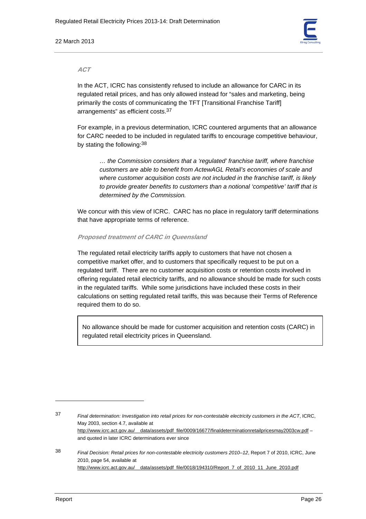#### 22 March 2013



#### **ACT**

In the ACT, ICRC has consistently refused to include an allowance for CARC in its regulated retail prices, and has only allowed instead for "sales and marketing, being primarily the costs of communicating the TFT [Transitional Franchise Tariff] arrangements" as efficient costs.37

For example, in a previous determination, ICRC countered arguments that an allowance for CARC needed to be included in regulated tariffs to encourage competitive behaviour, by stating the following: 38

*… the Commission considers that a 'regulated' franchise tariff, where franchise customers are able to benefit from ActewAGL Retail's economies of scale and where customer acquisition costs are not included in the franchise tariff, is likely to provide greater benefits to customers than a notional 'competitive' tariff that is determined by the Commission.* 

We concur with this view of ICRC. CARC has no place in regulatory tariff determinations that have appropriate terms of reference.

#### **Proposed treatment of CARC in Queensland**

The regulated retail electricity tariffs apply to customers that have not chosen a competitive market offer, and to customers that specifically request to be put on a regulated tariff. There are no customer acquisition costs or retention costs involved in offering regulated retail electricity tariffs, and no allowance should be made for such costs in the regulated tariffs. While some jurisdictions have included these costs in their calculations on setting regulated retail tariffs, this was because their Terms of Reference required them to do so.

No allowance should be made for customer acquisition and retention costs (CARC) in regulated retail electricity prices in Queensland.

37 *Final determination: Investigation into retail prices for non-contestable electricity customers in the ACT*, ICRC, May 2003, section 4.7, available at http://www.icrc.act.gov.au/\_\_data/assets/pdf\_file/0009/16677/finaldeterminationretailpricesmay2003cw.pdf – and quoted in later ICRC determinations ever since

38 *Final Decision: Retail prices for non-contestable electricity customers 2010–12*, Report 7 of 2010, ICRC, June 2010, page 54, available at http://www.icrc.act.gov.au/\_\_data/assets/pdf\_file/0018/194310/Report\_7\_of\_2010\_11\_June\_2010.pdf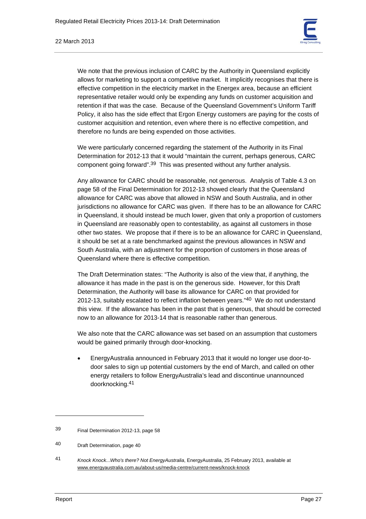

#### 22 March 2013

We note that the previous inclusion of CARC by the Authority in Queensland explicitly allows for marketing to support a competitive market. It implicitly recognises that there is effective competition in the electricity market in the Energex area, because an efficient representative retailer would only be expending any funds on customer acquisition and retention if that was the case. Because of the Queensland Government's Uniform Tariff Policy, it also has the side effect that Ergon Energy customers are paying for the costs of customer acquisition and retention, even where there is no effective competition, and therefore no funds are being expended on those activities.

We were particularly concerned regarding the statement of the Authority in its Final Determination for 2012-13 that it would "maintain the current, perhaps generous, CARC component going forward".39 This was presented without any further analysis.

Any allowance for CARC should be reasonable, not generous. Analysis of Table 4.3 on page 58 of the Final Determination for 2012-13 showed clearly that the Queensland allowance for CARC was above that allowed in NSW and South Australia, and in other jurisdictions no allowance for CARC was given. If there has to be an allowance for CARC in Queensland, it should instead be much lower, given that only a proportion of customers in Queensland are reasonably open to contestability, as against all customers in those other two states. We propose that if there is to be an allowance for CARC in Queensland, it should be set at a rate benchmarked against the previous allowances in NSW and South Australia, with an adjustment for the proportion of customers in those areas of Queensland where there is effective competition.

The Draft Determination states: "The Authority is also of the view that, if anything, the allowance it has made in the past is on the generous side. However, for this Draft Determination, the Authority will base its allowance for CARC on that provided for 2012-13, suitably escalated to reflect inflation between years."40 We do not understand this view. If the allowance has been in the past that is generous, that should be corrected now to an allowance for 2013-14 that is reasonable rather than generous.

We also note that the CARC allowance was set based on an assumption that customers would be gained primarily through door-knocking.

• EnergyAustralia announced in February 2013 that it would no longer use door-todoor sales to sign up potential customers by the end of March, and called on other energy retailers to follow EnergyAustralia's lead and discontinue unannounced doorknocking.41

<sup>39</sup> Final Determination 2012-13, page 58

<sup>40</sup> Draft Determination, page 40

<sup>41</sup> *Knock Knock...Who's there? Not EnergyAustralia*, EnergyAustralia, 25 February 2013, available at www.energyaustralia.com.au/about-us/media-centre/current-news/knock-knock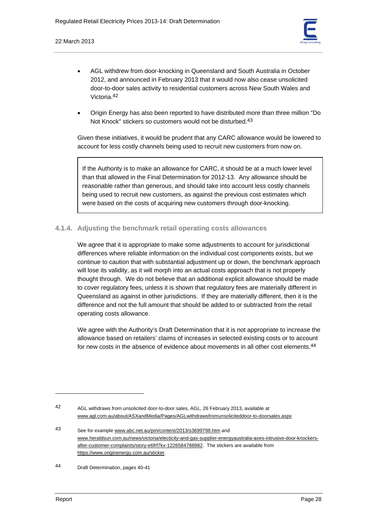

- AGL withdrew from door-knocking in Queensland and South Australia in October 2012, and announced in February 2013 that it would now also cease unsolicited door-to-door sales activity to residential customers across New South Wales and Victoria.42
- Origin Energy has also been reported to have distributed more than three million "Do Not Knock" stickers so customers would not be disturbed.<sup>43</sup>

Given these initiatives, it would be prudent that any CARC allowance would be lowered to account for less costly channels being used to recruit new customers from now on.

If the Authority is to make an allowance for CARC, it should be at a much lower level than that allowed in the Final Determination for 2012-13. Any allowance should be reasonable rather than generous, and should take into account less costly channels being used to recruit new customers, as against the previous cost estimates which were based on the costs of acquiring new customers through door-knocking.

# **4.1.4. Adjusting the benchmark retail operating costs allowances**

We agree that it is appropriate to make some adjustments to account for jurisdictional differences where reliable information on the individual cost components exists, but we continue to caution that with substantial adjustment up or down, the benchmark approach will lose its validity, as it will morph into an actual costs approach that is not properly thought through. We do not believe that an additional explicit allowance should be made to cover regulatory fees, unless it is shown that regulatory fees are materially different in Queensland as against in other jurisdictions. If they are materially different, then it is the difference and not the full amount that should be added to or subtracted from the retail operating costs allowance.

We agree with the Authority's Draft Determination that it is not appropriate to increase the allowance based on retailers' claims of increases in selected existing costs or to account for new costs in the absence of evidence about movements in all other cost elements.<sup>44</sup>

<sup>42</sup> AGL withdraws from unsolicited door-to-door sales, AGL, 26 February 2013, available at www.agl.com.au/about/ASXandMedia/Pages/AGLwithdrawsfromunsoliciteddoor-to-doorsales.aspx

<sup>43</sup> See for example www.abc.net.au/pm/content/2013/s3699798.htm and www.heraldsun.com.au/news/victoria/electicity-and-gas-supplier-energyaustralia-axes-intrusive-door-knockersafter-customer-complaints/story-e6frf7kx-1226584788982. The stickers are available from https://www.originenergy.com.au/sticker.

<sup>44</sup> Draft Determination, pages 40-41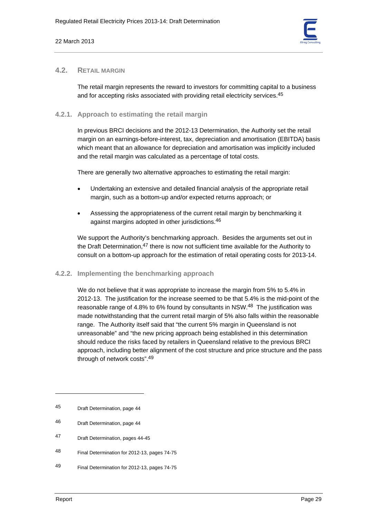

# **4.2. RETAIL MARGIN**

The retail margin represents the reward to investors for committing capital to a business and for accepting risks associated with providing retail electricity services.<sup>45</sup>

# **4.2.1. Approach to estimating the retail margin**

In previous BRCI decisions and the 2012-13 Determination, the Authority set the retail margin on an earnings-before-interest, tax, depreciation and amortisation (EBITDA) basis which meant that an allowance for depreciation and amortisation was implicitly included and the retail margin was calculated as a percentage of total costs.

There are generally two alternative approaches to estimating the retail margin:

- Undertaking an extensive and detailed financial analysis of the appropriate retail margin, such as a bottom-up and/or expected returns approach; or
- Assessing the appropriateness of the current retail margin by benchmarking it against margins adopted in other jurisdictions.46

We support the Authority's benchmarking approach. Besides the arguments set out in the Draft Determination, $47$  there is now not sufficient time available for the Authority to consult on a bottom-up approach for the estimation of retail operating costs for 2013-14.

# **4.2.2. Implementing the benchmarking approach**

We do not believe that it was appropriate to increase the margin from 5% to 5.4% in 2012-13. The justification for the increase seemed to be that 5.4% is the mid-point of the reasonable range of 4.8% to 6% found by consultants in NSW.48 The justification was made notwithstanding that the current retail margin of 5% also falls within the reasonable range. The Authority itself said that "the current 5% margin in Queensland is not unreasonable" and "the new pricing approach being established in this determination should reduce the risks faced by retailers in Queensland relative to the previous BRCI approach, including better alignment of the cost structure and price structure and the pass through of network costs".49

<sup>45</sup> Draft Determination, page 44

<sup>46</sup> Draft Determination, page 44

<sup>47</sup> Draft Determination, pages 44-45

<sup>48</sup> Final Determination for 2012-13, pages 74-75

<sup>49</sup> Final Determination for 2012-13, pages 74-75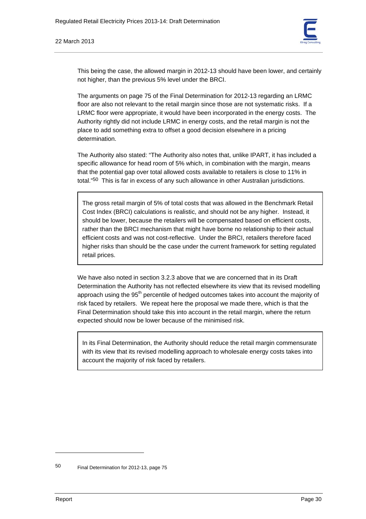

This being the case, the allowed margin in 2012-13 should have been lower, and certainly not higher, than the previous 5% level under the BRCI.

The arguments on page 75 of the Final Determination for 2012-13 regarding an LRMC floor are also not relevant to the retail margin since those are not systematic risks. If a LRMC floor were appropriate, it would have been incorporated in the energy costs. The Authority rightly did not include LRMC in energy costs, and the retail margin is not the place to add something extra to offset a good decision elsewhere in a pricing determination.

The Authority also stated: "The Authority also notes that, unlike IPART, it has included a specific allowance for head room of 5% which, in combination with the margin, means that the potential gap over total allowed costs available to retailers is close to 11% in total."50 This is far in excess of any such allowance in other Australian jurisdictions.

The gross retail margin of 5% of total costs that was allowed in the Benchmark Retail Cost Index (BRCI) calculations is realistic, and should not be any higher. Instead, it should be lower, because the retailers will be compensated based on efficient costs, rather than the BRCI mechanism that might have borne no relationship to their actual efficient costs and was not cost-reflective. Under the BRCI, retailers therefore faced higher risks than should be the case under the current framework for setting regulated retail prices.

We have also noted in section 3.2.3 above that we are concerned that in its Draft Determination the Authority has not reflected elsewhere its view that its revised modelling approach using the  $95<sup>th</sup>$  percentile of hedged outcomes takes into account the majority of risk faced by retailers. We repeat here the proposal we made there, which is that the Final Determination should take this into account in the retail margin, where the return expected should now be lower because of the minimised risk.

In its Final Determination, the Authority should reduce the retail margin commensurate with its view that its revised modelling approach to wholesale energy costs takes into account the majority of risk faced by retailers.

<sup>50</sup> Final Determination for 2012-13, page 75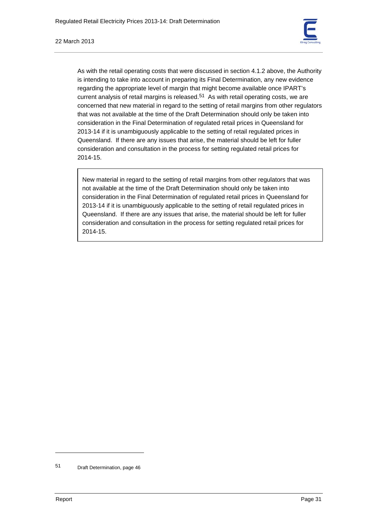

As with the retail operating costs that were discussed in section 4.1.2 above, the Authority is intending to take into account in preparing its Final Determination, any new evidence regarding the appropriate level of margin that might become available once IPART's current analysis of retail margins is released.<sup>51</sup> As with retail operating costs, we are concerned that new material in regard to the setting of retail margins from other regulators that was not available at the time of the Draft Determination should only be taken into consideration in the Final Determination of regulated retail prices in Queensland for 2013-14 if it is unambiguously applicable to the setting of retail regulated prices in Queensland. If there are any issues that arise, the material should be left for fuller consideration and consultation in the process for setting regulated retail prices for 2014-15.

New material in regard to the setting of retail margins from other regulators that was not available at the time of the Draft Determination should only be taken into consideration in the Final Determination of regulated retail prices in Queensland for 2013-14 if it is unambiguously applicable to the setting of retail regulated prices in Queensland. If there are any issues that arise, the material should be left for fuller consideration and consultation in the process for setting regulated retail prices for 2014-15.

<sup>51</sup> Draft Determination, page 46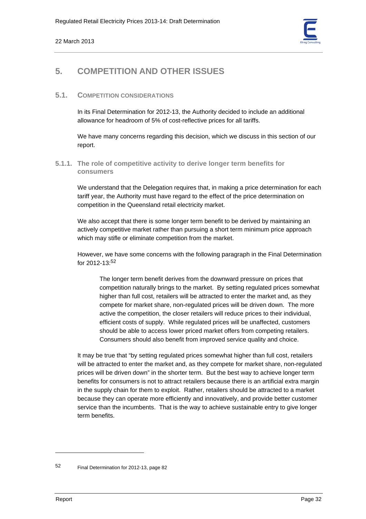

# **5. COMPETITION AND OTHER ISSUES**

# **5.1. COMPETITION CONSIDERATIONS**

In its Final Determination for 2012-13, the Authority decided to include an additional allowance for headroom of 5% of cost-reflective prices for all tariffs.

We have many concerns regarding this decision, which we discuss in this section of our report.

# **5.1.1. The role of competitive activity to derive longer term benefits for consumers**

We understand that the Delegation requires that, in making a price determination for each tariff year, the Authority must have regard to the effect of the price determination on competition in the Queensland retail electricity market.

We also accept that there is some longer term benefit to be derived by maintaining an actively competitive market rather than pursuing a short term minimum price approach which may stifle or eliminate competition from the market.

However, we have some concerns with the following paragraph in the Final Determination for 2012-13:52

The longer term benefit derives from the downward pressure on prices that competition naturally brings to the market. By setting regulated prices somewhat higher than full cost, retailers will be attracted to enter the market and, as they compete for market share, non-regulated prices will be driven down. The more active the competition, the closer retailers will reduce prices to their individual, efficient costs of supply. While regulated prices will be unaffected, customers should be able to access lower priced market offers from competing retailers. Consumers should also benefit from improved service quality and choice.

It may be true that "by setting regulated prices somewhat higher than full cost, retailers will be attracted to enter the market and, as they compete for market share, non-regulated prices will be driven down" in the shorter term. But the best way to achieve longer term benefits for consumers is not to attract retailers because there is an artificial extra margin in the supply chain for them to exploit. Rather, retailers should be attracted to a market because they can operate more efficiently and innovatively, and provide better customer service than the incumbents. That is the way to achieve sustainable entry to give longer term benefits.

<sup>52</sup> Final Determination for 2012-13, page 82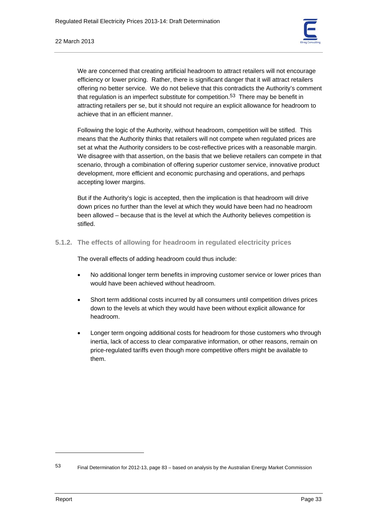

We are concerned that creating artificial headroom to attract retailers will not encourage efficiency or lower pricing. Rather, there is significant danger that it will attract retailers offering no better service. We do not believe that this contradicts the Authority's comment that regulation is an imperfect substitute for competition.<sup>53</sup> There may be benefit in attracting retailers per se, but it should not require an explicit allowance for headroom to achieve that in an efficient manner.

Following the logic of the Authority, without headroom, competition will be stifled. This means that the Authority thinks that retailers will not compete when regulated prices are set at what the Authority considers to be cost-reflective prices with a reasonable margin. We disagree with that assertion, on the basis that we believe retailers can compete in that scenario, through a combination of offering superior customer service, innovative product development, more efficient and economic purchasing and operations, and perhaps accepting lower margins.

But if the Authority's logic is accepted, then the implication is that headroom will drive down prices no further than the level at which they would have been had no headroom been allowed – because that is the level at which the Authority believes competition is stifled.

**5.1.2. The effects of allowing for headroom in regulated electricity prices** 

The overall effects of adding headroom could thus include:

- No additional longer term benefits in improving customer service or lower prices than would have been achieved without headroom.
- Short term additional costs incurred by all consumers until competition drives prices down to the levels at which they would have been without explicit allowance for headroom.
- Longer term ongoing additional costs for headroom for those customers who through inertia, lack of access to clear comparative information, or other reasons, remain on price-regulated tariffs even though more competitive offers might be available to them.

<sup>53</sup> Final Determination for 2012-13, page 83 – based on analysis by the Australian Energy Market Commission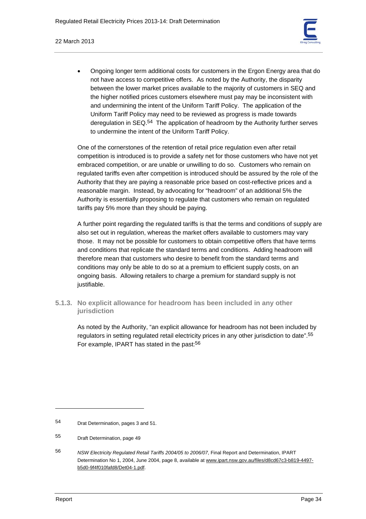

• Ongoing longer term additional costs for customers in the Ergon Energy area that do not have access to competitive offers. As noted by the Authority, the disparity between the lower market prices available to the majority of customers in SEQ and the higher notified prices customers elsewhere must pay may be inconsistent with and undermining the intent of the Uniform Tariff Policy. The application of the Uniform Tariff Policy may need to be reviewed as progress is made towards deregulation in SEQ.54 The application of headroom by the Authority further serves to undermine the intent of the Uniform Tariff Policy.

One of the cornerstones of the retention of retail price regulation even after retail competition is introduced is to provide a safety net for those customers who have not yet embraced competition, or are unable or unwilling to do so. Customers who remain on regulated tariffs even after competition is introduced should be assured by the role of the Authority that they are paying a reasonable price based on cost-reflective prices and a reasonable margin. Instead, by advocating for "headroom" of an additional 5% the Authority is essentially proposing to regulate that customers who remain on regulated tariffs pay 5% more than they should be paying.

A further point regarding the regulated tariffs is that the terms and conditions of supply are also set out in regulation, whereas the market offers available to customers may vary those. It may not be possible for customers to obtain competitive offers that have terms and conditions that replicate the standard terms and conditions. Adding headroom will therefore mean that customers who desire to benefit from the standard terms and conditions may only be able to do so at a premium to efficient supply costs, on an ongoing basis. Allowing retailers to charge a premium for standard supply is not justifiable.

**5.1.3. No explicit allowance for headroom has been included in any other jurisdiction** 

As noted by the Authority, "an explicit allowance for headroom has not been included by regulators in setting regulated retail electricity prices in any other jurisdiction to date".55 For example, IPART has stated in the past:<sup>56</sup>

<sup>54</sup> Drat Determination, pages 3 and 51.

<sup>55</sup> Draft Determination, page 49

<sup>56</sup> *NSW Electricity Regulated Retail Tariffs 2004/05 to 2006/07*, Final Report and Determination, IPART Determination No 1, 2004, June 2004, page 8, available at www.ipart.nsw.gov.au/files/d8cd67c3-b819-4497 b5d0-9f4f010fafd8/Det04-1.pdf.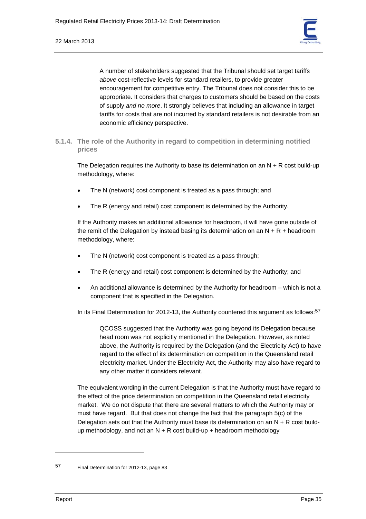

A number of stakeholders suggested that the Tribunal should set target tariffs *above* cost-reflective levels for standard retailers, to provide greater encouragement for competitive entry. The Tribunal does not consider this to be appropriate. It considers that charges to customers should be based on the costs of supply *and no more*. It strongly believes that including an allowance in target tariffs for costs that are not incurred by standard retailers is not desirable from an economic efficiency perspective.

**5.1.4. The role of the Authority in regard to competition in determining notified prices** 

The Delegation requires the Authority to base its determination on an  $N + R$  cost build-up methodology, where:

- The N (network) cost component is treated as a pass through; and
- The R (energy and retail) cost component is determined by the Authority.

If the Authority makes an additional allowance for headroom, it will have gone outside of the remit of the Delegation by instead basing its determination on an  $N + R +$  headroom methodology, where:

- The N (network) cost component is treated as a pass through;
- The R (energy and retail) cost component is determined by the Authority; and
- An additional allowance is determined by the Authority for headroom which is not a component that is specified in the Delegation.

In its Final Determination for 2012-13, the Authority countered this argument as follows:<sup>57</sup>

QCOSS suggested that the Authority was going beyond its Delegation because head room was not explicitly mentioned in the Delegation. However, as noted above, the Authority is required by the Delegation (and the Electricity Act) to have regard to the effect of its determination on competition in the Queensland retail electricity market. Under the Electricity Act, the Authority may also have regard to any other matter it considers relevant.

The equivalent wording in the current Delegation is that the Authority must have regard to the effect of the price determination on competition in the Queensland retail electricity market. We do not dispute that there are several matters to which the Authority may or must have regard. But that does not change the fact that the paragraph 5(c) of the Delegation sets out that the Authority must base its determination on an  $N + R$  cost buildup methodology, and not an  $N + R$  cost build-up + headroom methodology

<sup>57</sup> Final Determination for 2012-13, page 83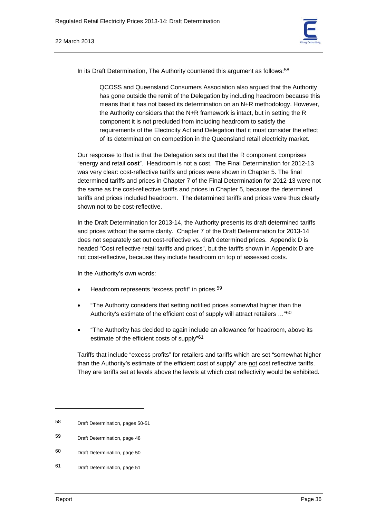

In its Draft Determination, The Authority countered this argument as follows:<sup>58</sup>

QCOSS and Queensland Consumers Association also argued that the Authority has gone outside the remit of the Delegation by including headroom because this means that it has not based its determination on an N+R methodology. However, the Authority considers that the N+R framework is intact, but in setting the R component it is not precluded from including headroom to satisfy the requirements of the Electricity Act and Delegation that it must consider the effect of its determination on competition in the Queensland retail electricity market.

Our response to that is that the Delegation sets out that the R component comprises "energy and retail **cost**". Headroom is not a cost. The Final Determination for 2012-13 was very clear: cost-reflective tariffs and prices were shown in Chapter 5. The final determined tariffs and prices in Chapter 7 of the Final Determination for 2012-13 were not the same as the cost-reflective tariffs and prices in Chapter 5, because the determined tariffs and prices included headroom. The determined tariffs and prices were thus clearly shown not to be cost-reflective.

In the Draft Determination for 2013-14, the Authority presents its draft determined tariffs and prices without the same clarity. Chapter 7 of the Draft Determination for 2013-14 does not separately set out cost-reflective vs. draft determined prices. Appendix D is headed "Cost reflective retail tariffs and prices", but the tariffs shown in Appendix D are not cost-reflective, because they include headroom on top of assessed costs.

In the Authority's own words:

- Headroom represents "excess profit" in prices.<sup>59</sup>
- "The Authority considers that setting notified prices somewhat higher than the Authority's estimate of the efficient cost of supply will attract retailers ..."<sup>60</sup>
- "The Authority has decided to again include an allowance for headroom, above its estimate of the efficient costs of supply"61

Tariffs that include "excess profits" for retailers and tariffs which are set "somewhat higher than the Authority's estimate of the efficient cost of supply" are not cost reflective tariffs. They are tariffs set at levels above the levels at which cost reflectivity would be exhibited.

<sup>58</sup> Draft Determination, pages 50-51

<sup>59</sup> Draft Determination, page 48

<sup>60</sup> Draft Determination, page 50

<sup>61</sup> Draft Determination, page 51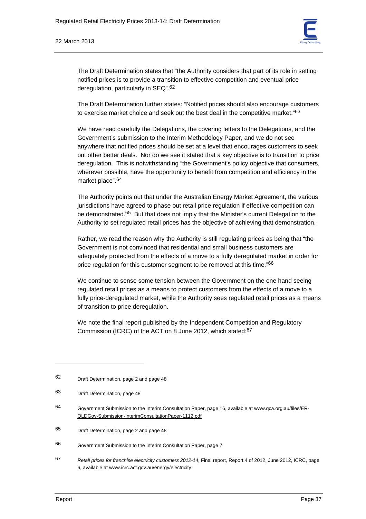

The Draft Determination states that "the Authority considers that part of its role in setting notified prices is to provide a transition to effective competition and eventual price deregulation, particularly in SEQ".62

The Draft Determination further states: "Notified prices should also encourage customers to exercise market choice and seek out the best deal in the competitive market."<sup>63</sup>

We have read carefully the Delegations, the covering letters to the Delegations, and the Government's submission to the Interim Methodology Paper, and we do not see anywhere that notified prices should be set at a level that encourages customers to seek out other better deals. Nor do we see it stated that a key objective is to transition to price deregulation. This is notwithstanding "the Government's policy objective that consumers, wherever possible, have the opportunity to benefit from competition and efficiency in the market place".64

The Authority points out that under the Australian Energy Market Agreement, the various jurisdictions have agreed to phase out retail price regulation if effective competition can be demonstrated.<sup>65</sup> But that does not imply that the Minister's current Delegation to the Authority to set regulated retail prices has the objective of achieving that demonstration.

Rather, we read the reason why the Authority is still regulating prices as being that "the Government is not convinced that residential and small business customers are adequately protected from the effects of a move to a fully deregulated market in order for price regulation for this customer segment to be removed at this time."66

We continue to sense some tension between the Government on the one hand seeing regulated retail prices as a means to protect customers from the effects of a move to a fully price-deregulated market, while the Authority sees regulated retail prices as a means of transition to price deregulation.

We note the final report published by the Independent Competition and Regulatory Commission (ICRC) of the ACT on 8 June 2012, which stated:67

<sup>62</sup> Draft Determination, page 2 and page 48

<sup>63</sup> Draft Determination, page 48

<sup>64</sup> Government Submission to the Interim Consultation Paper, page 16, available at www.qca.org.au/files/ER-QLDGov-Submission-InterimConsultationPaper-1112.pdf

<sup>65</sup> Draft Determination, page 2 and page 48

<sup>66</sup> Government Submission to the Interim Consultation Paper, page 7

<sup>67</sup> *Retail prices for franchise electricity customers 2012-14*, Final report, Report 4 of 2012, June 2012, ICRC, page 6, available at www.icrc.act.gov.au/energy/electricity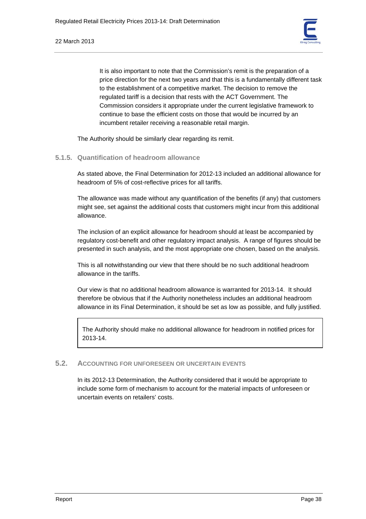It is also important to note that the Commission's remit is the preparation of a price direction for the next two years and that this is a fundamentally different task to the establishment of a competitive market. The decision to remove the regulated tariff is a decision that rests with the ACT Government. The Commission considers it appropriate under the current legislative framework to continue to base the efficient costs on those that would be incurred by an incumbent retailer receiving a reasonable retail margin.

The Authority should be similarly clear regarding its remit.

# **5.1.5. Quantification of headroom allowance**

As stated above, the Final Determination for 2012-13 included an additional allowance for headroom of 5% of cost-reflective prices for all tariffs.

The allowance was made without any quantification of the benefits (if any) that customers might see, set against the additional costs that customers might incur from this additional allowance.

The inclusion of an explicit allowance for headroom should at least be accompanied by regulatory cost-benefit and other regulatory impact analysis. A range of figures should be presented in such analysis, and the most appropriate one chosen, based on the analysis.

This is all notwithstanding our view that there should be no such additional headroom allowance in the tariffs.

Our view is that no additional headroom allowance is warranted for 2013-14. It should therefore be obvious that if the Authority nonetheless includes an additional headroom allowance in its Final Determination, it should be set as low as possible, and fully justified.

The Authority should make no additional allowance for headroom in notified prices for 2013-14.

# **5.2. ACCOUNTING FOR UNFORESEEN OR UNCERTAIN EVENTS**

In its 2012-13 Determination, the Authority considered that it would be appropriate to include some form of mechanism to account for the material impacts of unforeseen or uncertain events on retailers' costs.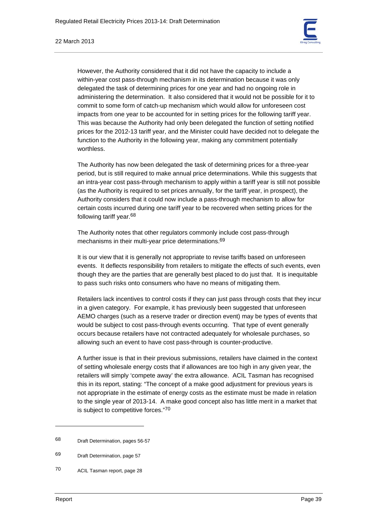

However, the Authority considered that it did not have the capacity to include a within-year cost pass-through mechanism in its determination because it was only delegated the task of determining prices for one year and had no ongoing role in administering the determination. It also considered that it would not be possible for it to commit to some form of catch-up mechanism which would allow for unforeseen cost impacts from one year to be accounted for in setting prices for the following tariff year. This was because the Authority had only been delegated the function of setting notified prices for the 2012-13 tariff year, and the Minister could have decided not to delegate the function to the Authority in the following year, making any commitment potentially worthless.

The Authority has now been delegated the task of determining prices for a three-year period, but is still required to make annual price determinations. While this suggests that an intra-year cost pass-through mechanism to apply within a tariff year is still not possible (as the Authority is required to set prices annually, for the tariff year, in prospect), the Authority considers that it could now include a pass-through mechanism to allow for certain costs incurred during one tariff year to be recovered when setting prices for the following tariff year.68

The Authority notes that other regulators commonly include cost pass-through mechanisms in their multi-year price determinations.69

It is our view that it is generally not appropriate to revise tariffs based on unforeseen events. It deflects responsibility from retailers to mitigate the effects of such events, even though they are the parties that are generally best placed to do just that. It is inequitable to pass such risks onto consumers who have no means of mitigating them.

Retailers lack incentives to control costs if they can just pass through costs that they incur in a given category. For example, it has previously been suggested that unforeseen AEMO charges (such as a reserve trader or direction event) may be types of events that would be subject to cost pass-through events occurring. That type of event generally occurs because retailers have not contracted adequately for wholesale purchases, so allowing such an event to have cost pass-through is counter-productive.

A further issue is that in their previous submissions, retailers have claimed in the context of setting wholesale energy costs that if allowances are too high in any given year, the retailers will simply 'compete away' the extra allowance. ACIL Tasman has recognised this in its report, stating: "The concept of a make good adjustment for previous years is not appropriate in the estimate of energy costs as the estimate must be made in relation to the single year of 2013-14. A make good concept also has little merit in a market that is subject to competitive forces."70

<sup>68</sup> Draft Determination, pages 56-57

<sup>69</sup> Draft Determination, page 57

<sup>70</sup> ACIL Tasman report, page 28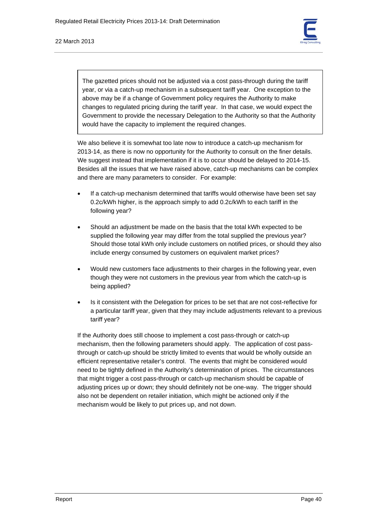

The gazetted prices should not be adjusted via a cost pass-through during the tariff year, or via a catch-up mechanism in a subsequent tariff year. One exception to the above may be if a change of Government policy requires the Authority to make changes to regulated pricing during the tariff year. In that case, we would expect the Government to provide the necessary Delegation to the Authority so that the Authority would have the capacity to implement the required changes.

We also believe it is somewhat too late now to introduce a catch-up mechanism for 2013-14, as there is now no opportunity for the Authority to consult on the finer details. We suggest instead that implementation if it is to occur should be delayed to 2014-15. Besides all the issues that we have raised above, catch-up mechanisms can be complex and there are many parameters to consider. For example:

- If a catch-up mechanism determined that tariffs would otherwise have been set say 0.2c/kWh higher, is the approach simply to add 0.2c/kWh to each tariff in the following year?
- Should an adjustment be made on the basis that the total kWh expected to be supplied the following year may differ from the total supplied the previous year? Should those total kWh only include customers on notified prices, or should they also include energy consumed by customers on equivalent market prices?
- Would new customers face adjustments to their charges in the following year, even though they were not customers in the previous year from which the catch-up is being applied?
- Is it consistent with the Delegation for prices to be set that are not cost-reflective for a particular tariff year, given that they may include adjustments relevant to a previous tariff year?

If the Authority does still choose to implement a cost pass-through or catch-up mechanism, then the following parameters should apply. The application of cost passthrough or catch-up should be strictly limited to events that would be wholly outside an efficient representative retailer's control. The events that might be considered would need to be tightly defined in the Authority's determination of prices. The circumstances that might trigger a cost pass-through or catch-up mechanism should be capable of adjusting prices up or down; they should definitely not be one-way. The trigger should also not be dependent on retailer initiation, which might be actioned only if the mechanism would be likely to put prices up, and not down.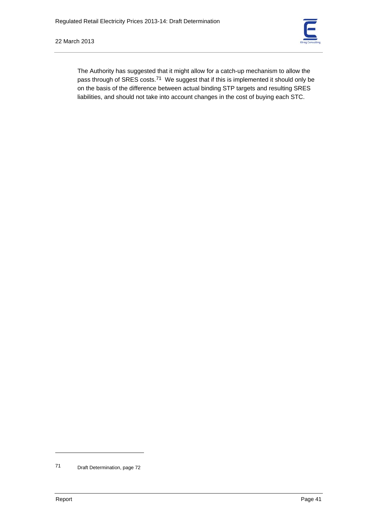

The Authority has suggested that it might allow for a catch-up mechanism to allow the pass through of SRES costs.<sup>71</sup> We suggest that if this is implemented it should only be on the basis of the difference between actual binding STP targets and resulting SRES liabilities, and should not take into account changes in the cost of buying each STC.

<sup>71</sup> Draft Determination, page 72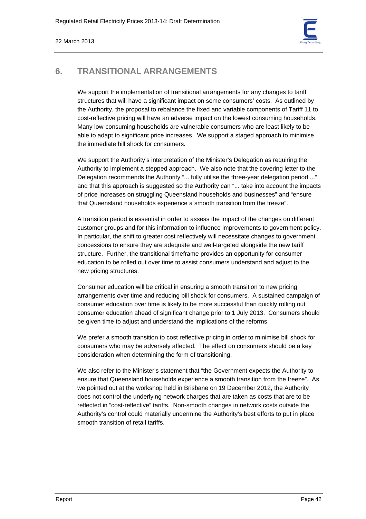

# **6. TRANSITIONAL ARRANGEMENTS**

We support the implementation of transitional arrangements for any changes to tariff structures that will have a significant impact on some consumers' costs. As outlined by the Authority, the proposal to rebalance the fixed and variable components of Tariff 11 to cost-reflective pricing will have an adverse impact on the lowest consuming households. Many low-consuming households are vulnerable consumers who are least likely to be able to adapt to significant price increases. We support a staged approach to minimise the immediate bill shock for consumers.

We support the Authority's interpretation of the Minister's Delegation as requiring the Authority to implement a stepped approach. We also note that the covering letter to the Delegation recommends the Authority "... fully utilise the three-year delegation period ..." and that this approach is suggested so the Authority can "... take into account the impacts of price increases on struggling Queensland households and businesses" and "ensure that Queensland households experience a smooth transition from the freeze".

A transition period is essential in order to assess the impact of the changes on different customer groups and for this information to influence improvements to government policy. In particular, the shift to greater cost reflectively will necessitate changes to government concessions to ensure they are adequate and well-targeted alongside the new tariff structure. Further, the transitional timeframe provides an opportunity for consumer education to be rolled out over time to assist consumers understand and adjust to the new pricing structures.

Consumer education will be critical in ensuring a smooth transition to new pricing arrangements over time and reducing bill shock for consumers. A sustained campaign of consumer education over time is likely to be more successful than quickly rolling out consumer education ahead of significant change prior to 1 July 2013. Consumers should be given time to adjust and understand the implications of the reforms.

We prefer a smooth transition to cost reflective pricing in order to minimise bill shock for consumers who may be adversely affected. The effect on consumers should be a key consideration when determining the form of transitioning.

We also refer to the Minister's statement that "the Government expects the Authority to ensure that Queensland households experience a smooth transition from the freeze". As we pointed out at the workshop held in Brisbane on 19 December 2012, the Authority does not control the underlying network charges that are taken as costs that are to be reflected in "cost-reflective" tariffs. Non-smooth changes in network costs outside the Authority's control could materially undermine the Authority's best efforts to put in place smooth transition of retail tariffs.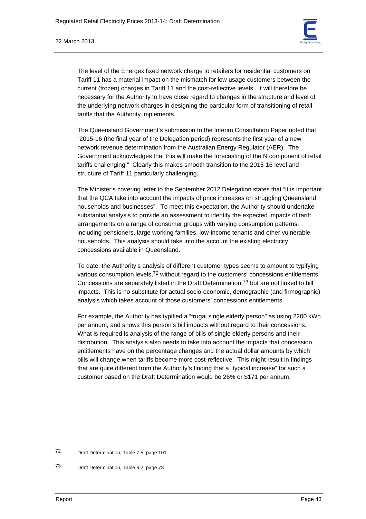

#### 22 March 2013

The level of the Energex fixed network charge to retailers for residential customers on Tariff 11 has a material impact on the mismatch for low usage customers between the current (frozen) charges in Tariff 11 and the cost-reflective levels. It will therefore be necessary for the Authority to have close regard to changes in the structure and level of the underlying network charges in designing the particular form of transitioning of retail tariffs that the Authority implements.

The Queensland Government's submission to the Interim Consultation Paper noted that "2015-16 (the final year of the Delegation period) represents the first year of a new network revenue determination from the Australian Energy Regulator (AER). The Government acknowledges that this will make the forecasting of the N component of retail tariffs challenging." Clearly this makes smooth transition to the 2015-16 level and structure of Tariff 11 particularly challenging.

The Minister's covering letter to the September 2012 Delegation states that "it is important that the QCA take into account the impacts of price increases on struggling Queensland households and businesses". To meet this expectation, the Authority should undertake substantial analysis to provide an assessment to identify the expected impacts of tariff arrangements on a range of consumer groups with varying consumption patterns, including pensioners, large working families, low-income tenants and other vulnerable households. This analysis should take into the account the existing electricity concessions available in Queensland.

To date, the Authority's analysis of different customer types seems to amount to typifying various consumption levels,<sup>72</sup> without regard to the customers' concessions entitlements. Concessions are separately listed in the Draft Determination,73 but are not linked to bill impacts. This is no substitute for actual socio-economic, demographic (and firmographic) analysis which takes account of those customers' concessions entitlements.

For example, the Authority has typified a "frugal single elderly person" as using 2200 kWh per annum, and shows this person's bill impacts without regard to their concessions. What is required is analysis of the range of bills of single elderly persons and their distribution. This analysis also needs to take into account the impacts that concession entitlements have on the percentage changes and the actual dollar amounts by which bills will change when tariffs become more cost-reflective. This might result in findings that are quite different from the Authority's finding that a "typical increase" for such a customer based on the Draft Determination would be 26% or \$171 per annum.

<sup>72</sup> Draft Determination, Table 7.5, page 101

<sup>73</sup> Draft Determination, Table 6.2, page 73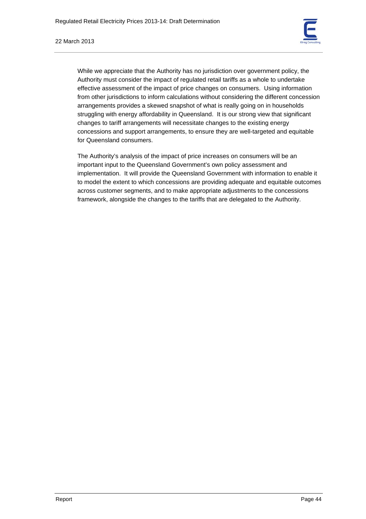

While we appreciate that the Authority has no jurisdiction over government policy, the Authority must consider the impact of regulated retail tariffs as a whole to undertake effective assessment of the impact of price changes on consumers. Using information from other jurisdictions to inform calculations without considering the different concession arrangements provides a skewed snapshot of what is really going on in households struggling with energy affordability in Queensland. It is our strong view that significant changes to tariff arrangements will necessitate changes to the existing energy concessions and support arrangements, to ensure they are well-targeted and equitable for Queensland consumers.

The Authority's analysis of the impact of price increases on consumers will be an important input to the Queensland Government's own policy assessment and implementation. It will provide the Queensland Government with information to enable it to model the extent to which concessions are providing adequate and equitable outcomes across customer segments, and to make appropriate adjustments to the concessions framework, alongside the changes to the tariffs that are delegated to the Authority.